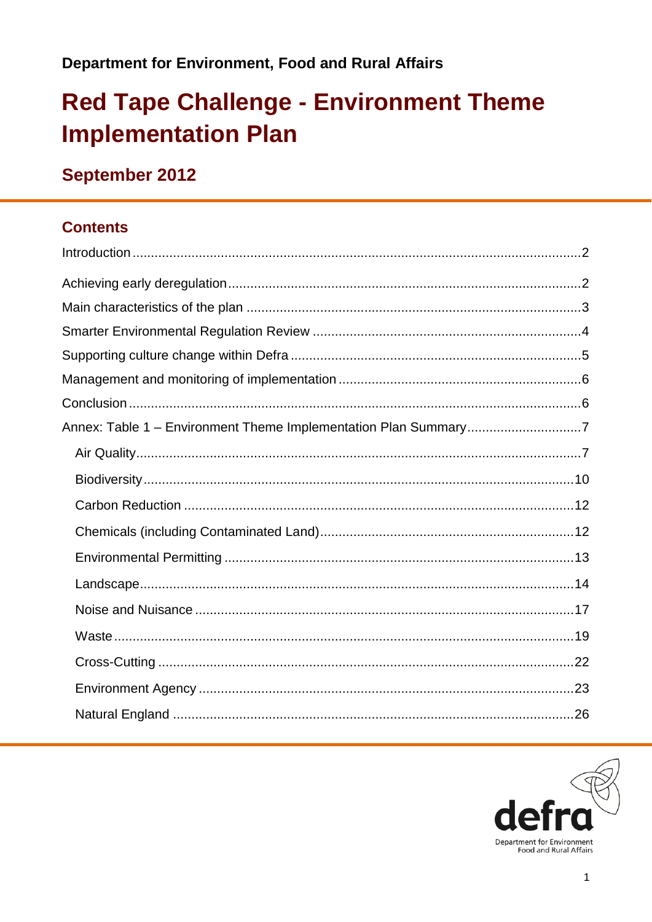# **Red Tape Challenge - Environment Theme Implementation Plan**

### September 2012

#### **Contents**

| Annex: Table 1 - Environment Theme Implementation Plan Summary7 |  |
|-----------------------------------------------------------------|--|
|                                                                 |  |
|                                                                 |  |
|                                                                 |  |
|                                                                 |  |
|                                                                 |  |
|                                                                 |  |
|                                                                 |  |
|                                                                 |  |
|                                                                 |  |
|                                                                 |  |
|                                                                 |  |

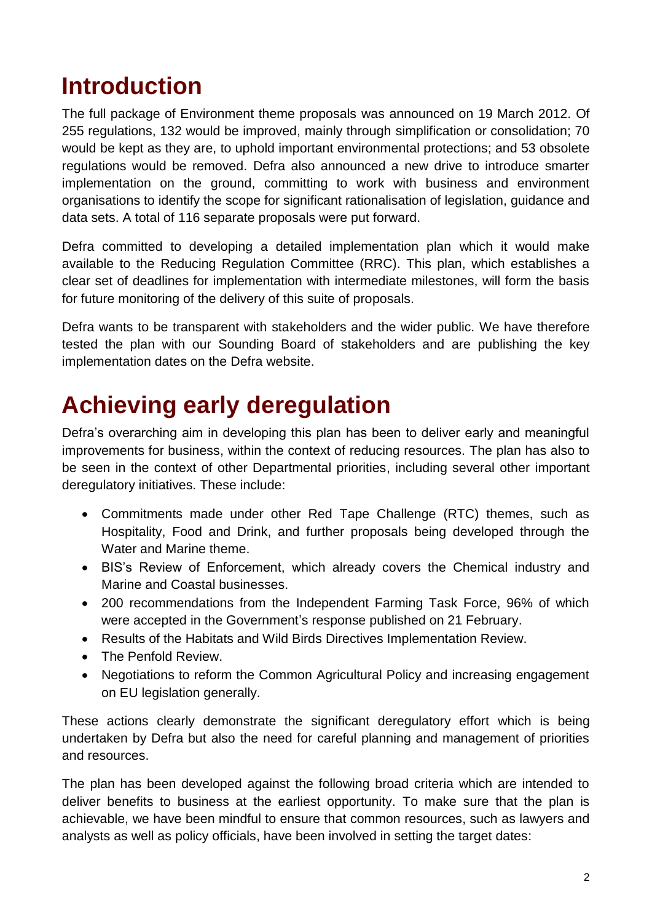# <span id="page-1-0"></span>**Introduction**

The full package of Environment theme proposals was announced on 19 March 2012. Of 255 regulations, 132 would be improved, mainly through simplification or consolidation; 70 would be kept as they are, to uphold important environmental protections; and 53 obsolete regulations would be removed. Defra also announced a new drive to introduce smarter implementation on the ground, committing to work with business and environment organisations to identify the scope for significant rationalisation of legislation, guidance and data sets. A total of 116 separate proposals were put forward.

Defra committed to developing a detailed implementation plan which it would make available to the Reducing Regulation Committee (RRC). This plan, which establishes a clear set of deadlines for implementation with intermediate milestones, will form the basis for future monitoring of the delivery of this suite of proposals.

Defra wants to be transparent with stakeholders and the wider public. We have therefore tested the plan with our Sounding Board of stakeholders and are publishing the key implementation dates on the Defra website.

# <span id="page-1-1"></span>**Achieving early deregulation**

Defra"s overarching aim in developing this plan has been to deliver early and meaningful improvements for business, within the context of reducing resources. The plan has also to be seen in the context of other Departmental priorities, including several other important deregulatory initiatives. These include:

- Commitments made under other Red Tape Challenge (RTC) themes, such as Hospitality, Food and Drink, and further proposals being developed through the Water and Marine theme.
- BIS"s Review of Enforcement, which already covers the Chemical industry and Marine and Coastal businesses.
- 200 recommendations from the Independent Farming Task Force, 96% of which were accepted in the Government's response published on 21 February.
- Results of the Habitats and Wild Birds Directives Implementation Review.
- The Penfold Review.
- Negotiations to reform the Common Agricultural Policy and increasing engagement on EU legislation generally.

These actions clearly demonstrate the significant deregulatory effort which is being undertaken by Defra but also the need for careful planning and management of priorities and resources.

The plan has been developed against the following broad criteria which are intended to deliver benefits to business at the earliest opportunity. To make sure that the plan is achievable, we have been mindful to ensure that common resources, such as lawyers and analysts as well as policy officials, have been involved in setting the target dates: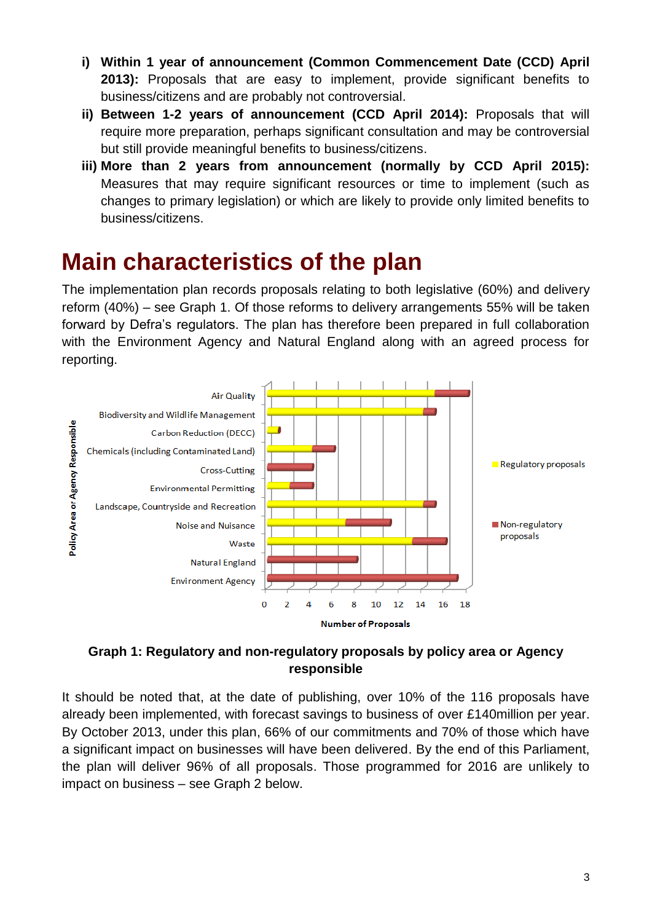- **i) Within 1 year of announcement (Common Commencement Date (CCD) April 2013):** Proposals that are easy to implement, provide significant benefits to business/citizens and are probably not controversial.
- **ii) Between 1-2 years of announcement (CCD April 2014):** Proposals that will require more preparation, perhaps significant consultation and may be controversial but still provide meaningful benefits to business/citizens.
- **iii) More than 2 years from announcement (normally by CCD April 2015):** Measures that may require significant resources or time to implement (such as changes to primary legislation) or which are likely to provide only limited benefits to business/citizens.

# <span id="page-2-0"></span>**Main characteristics of the plan**

The implementation plan records proposals relating to both legislative (60%) and delivery reform (40%) – see Graph 1. Of those reforms to delivery arrangements 55% will be taken forward by Defra"s regulators. The plan has therefore been prepared in full collaboration with the Environment Agency and Natural England along with an agreed process for reporting.



#### **Graph 1: Regulatory and non-regulatory proposals by policy area or Agency responsible**

It should be noted that, at the date of publishing, over 10% of the 116 proposals have already been implemented, with forecast savings to business of over £140million per year. By October 2013, under this plan, 66% of our commitments and 70% of those which have a significant impact on businesses will have been delivered. By the end of this Parliament, the plan will deliver 96% of all proposals. Those programmed for 2016 are unlikely to impact on business – see Graph 2 below.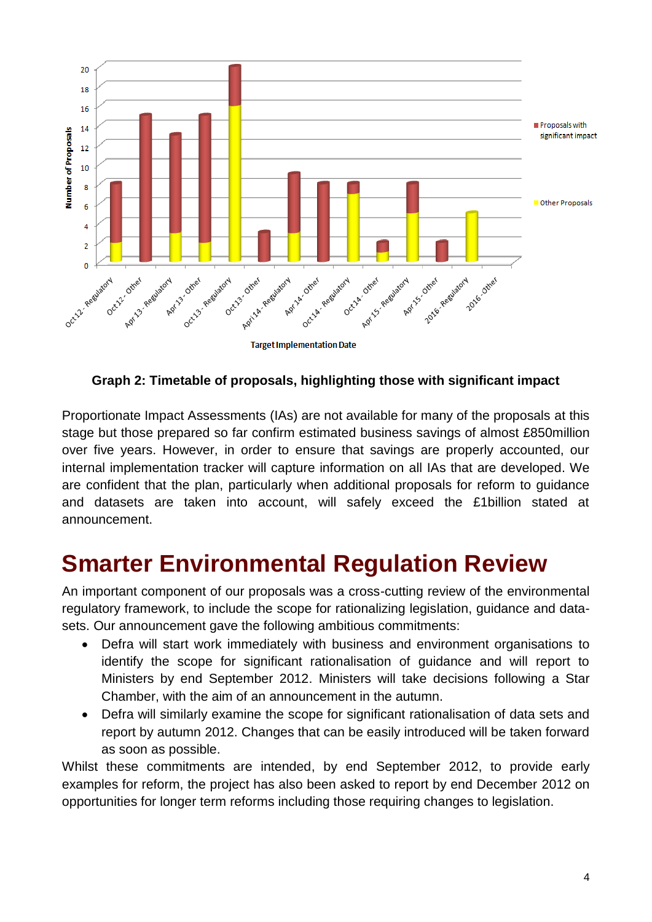

**Graph 2: Timetable of proposals, highlighting those with significant impact**

Proportionate Impact Assessments (IAs) are not available for many of the proposals at this stage but those prepared so far confirm estimated business savings of almost £850million over five years. However, in order to ensure that savings are properly accounted, our internal implementation tracker will capture information on all IAs that are developed. We are confident that the plan, particularly when additional proposals for reform to guidance and datasets are taken into account, will safely exceed the £1billion stated at announcement.

# <span id="page-3-0"></span>**Smarter Environmental Regulation Review**

An important component of our proposals was a cross-cutting review of the environmental regulatory framework, to include the scope for rationalizing legislation, guidance and datasets. Our announcement gave the following ambitious commitments:

- Defra will start work immediately with business and environment organisations to identify the scope for significant rationalisation of guidance and will report to Ministers by end September 2012. Ministers will take decisions following a Star Chamber, with the aim of an announcement in the autumn.
- Defra will similarly examine the scope for significant rationalisation of data sets and report by autumn 2012. Changes that can be easily introduced will be taken forward as soon as possible.

Whilst these commitments are intended, by end September 2012, to provide early examples for reform, the project has also been asked to report by end December 2012 on opportunities for longer term reforms including those requiring changes to legislation.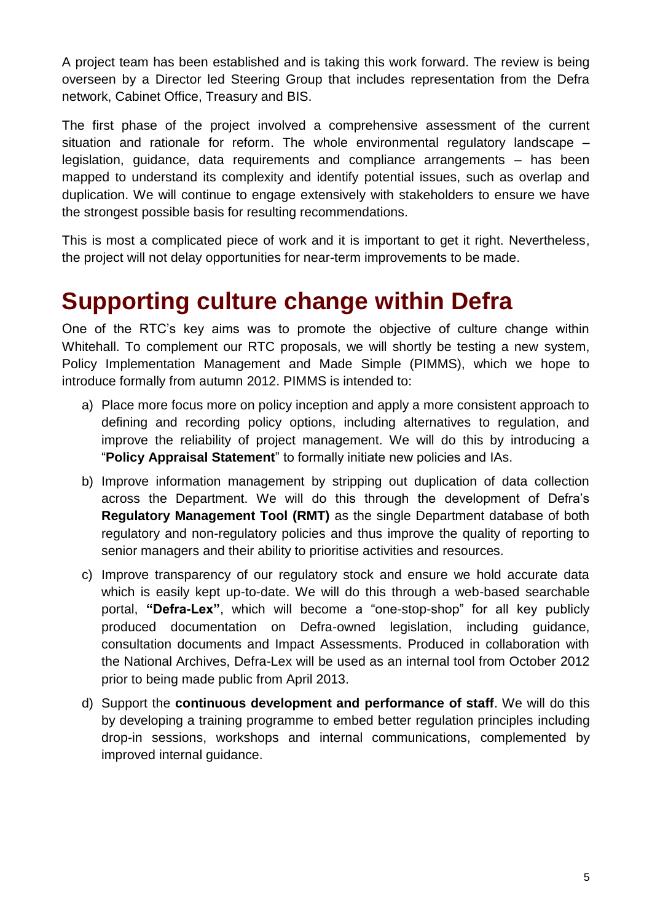A project team has been established and is taking this work forward. The review is being overseen by a Director led Steering Group that includes representation from the Defra network, Cabinet Office, Treasury and BIS.

The first phase of the project involved a comprehensive assessment of the current situation and rationale for reform. The whole environmental regulatory landscape – legislation, guidance, data requirements and compliance arrangements – has been mapped to understand its complexity and identify potential issues, such as overlap and duplication. We will continue to engage extensively with stakeholders to ensure we have the strongest possible basis for resulting recommendations.

This is most a complicated piece of work and it is important to get it right. Nevertheless, the project will not delay opportunities for near-term improvements to be made.

### <span id="page-4-0"></span>**Supporting culture change within Defra**

One of the RTC"s key aims was to promote the objective of culture change within Whitehall. To complement our RTC proposals, we will shortly be testing a new system, Policy Implementation Management and Made Simple (PIMMS), which we hope to introduce formally from autumn 2012. PIMMS is intended to:

- a) Place more focus more on policy inception and apply a more consistent approach to defining and recording policy options, including alternatives to regulation, and improve the reliability of project management. We will do this by introducing a "**Policy Appraisal Statement**" to formally initiate new policies and IAs.
- b) Improve information management by stripping out duplication of data collection across the Department. We will do this through the development of Defra"s **Regulatory Management Tool (RMT)** as the single Department database of both regulatory and non-regulatory policies and thus improve the quality of reporting to senior managers and their ability to prioritise activities and resources.
- c) Improve transparency of our regulatory stock and ensure we hold accurate data which is easily kept up-to-date. We will do this through a web-based searchable portal, **"Defra-Lex"**, which will become a "one-stop-shop" for all key publicly produced documentation on Defra-owned legislation, including guidance, consultation documents and Impact Assessments. Produced in collaboration with the National Archives, Defra-Lex will be used as an internal tool from October 2012 prior to being made public from April 2013.
- d) Support the **continuous development and performance of staff**. We will do this by developing a training programme to embed better regulation principles including drop-in sessions, workshops and internal communications, complemented by improved internal guidance.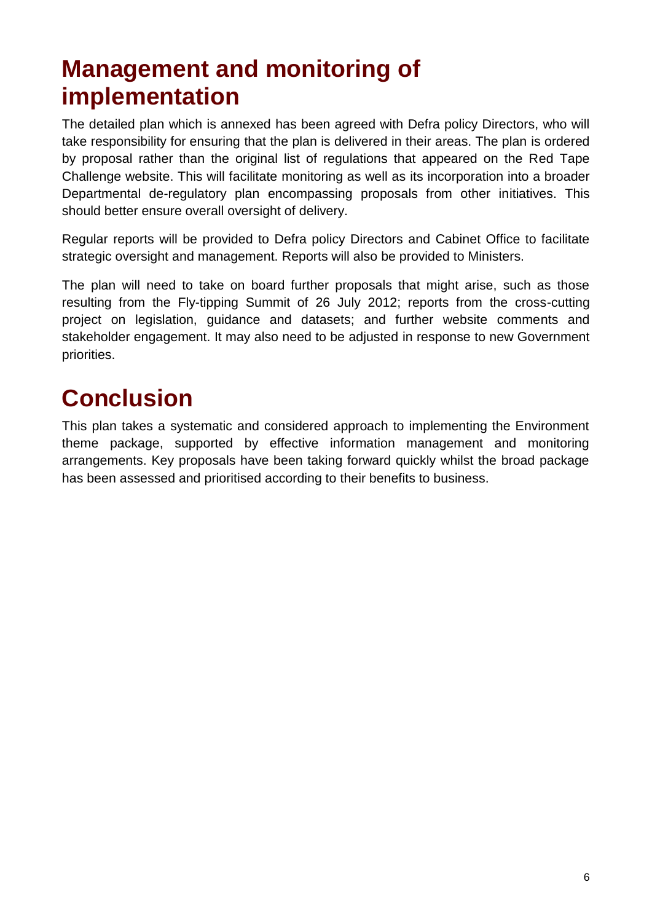# <span id="page-5-0"></span>**Management and monitoring of implementation**

The detailed plan which is annexed has been agreed with Defra policy Directors, who will take responsibility for ensuring that the plan is delivered in their areas. The plan is ordered by proposal rather than the original list of regulations that appeared on the Red Tape Challenge website. This will facilitate monitoring as well as its incorporation into a broader Departmental de-regulatory plan encompassing proposals from other initiatives. This should better ensure overall oversight of delivery.

Regular reports will be provided to Defra policy Directors and Cabinet Office to facilitate strategic oversight and management. Reports will also be provided to Ministers.

The plan will need to take on board further proposals that might arise, such as those resulting from the Fly-tipping Summit of 26 July 2012; reports from the cross-cutting project on legislation, guidance and datasets; and further website comments and stakeholder engagement. It may also need to be adjusted in response to new Government priorities.

# <span id="page-5-1"></span>**Conclusion**

This plan takes a systematic and considered approach to implementing the Environment theme package, supported by effective information management and monitoring arrangements. Key proposals have been taking forward quickly whilst the broad package has been assessed and prioritised according to their benefits to business.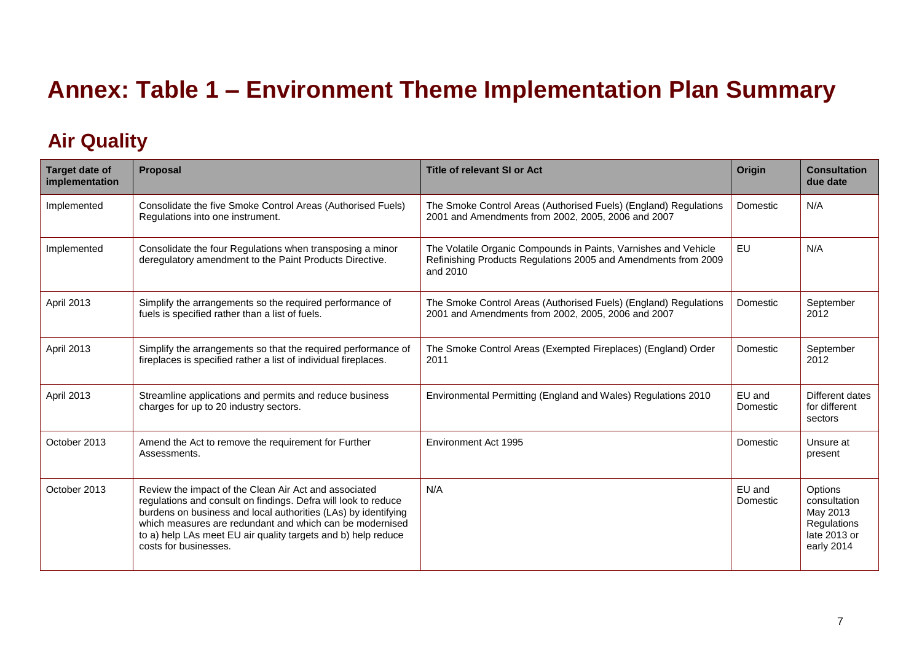# **Annex: Table 1 – Environment Theme Implementation Plan Summary**

#### **Air Quality**

<span id="page-6-1"></span><span id="page-6-0"></span>

| <b>Target date of</b><br>implementation | Proposal                                                                                                                                                                                                                                                                                                                                        | Title of relevant SI or Act                                                                                                                   | Origin             | <b>Consultation</b><br>due date                                                  |
|-----------------------------------------|-------------------------------------------------------------------------------------------------------------------------------------------------------------------------------------------------------------------------------------------------------------------------------------------------------------------------------------------------|-----------------------------------------------------------------------------------------------------------------------------------------------|--------------------|----------------------------------------------------------------------------------|
| Implemented                             | Consolidate the five Smoke Control Areas (Authorised Fuels)<br>Regulations into one instrument.                                                                                                                                                                                                                                                 | The Smoke Control Areas (Authorised Fuels) (England) Regulations<br>2001 and Amendments from 2002, 2005, 2006 and 2007                        | Domestic           | N/A                                                                              |
| Implemented                             | Consolidate the four Regulations when transposing a minor<br>deregulatory amendment to the Paint Products Directive.                                                                                                                                                                                                                            | The Volatile Organic Compounds in Paints, Varnishes and Vehicle<br>Refinishing Products Regulations 2005 and Amendments from 2009<br>and 2010 | EU                 | N/A                                                                              |
| April 2013                              | Simplify the arrangements so the required performance of<br>fuels is specified rather than a list of fuels.                                                                                                                                                                                                                                     | The Smoke Control Areas (Authorised Fuels) (England) Regulations<br>2001 and Amendments from 2002, 2005, 2006 and 2007                        | Domestic           | September<br>2012                                                                |
| April 2013                              | Simplify the arrangements so that the required performance of<br>fireplaces is specified rather a list of individual fireplaces.                                                                                                                                                                                                                | The Smoke Control Areas (Exempted Fireplaces) (England) Order<br>2011                                                                         | Domestic           | September<br>2012                                                                |
| <b>April 2013</b>                       | Streamline applications and permits and reduce business<br>charges for up to 20 industry sectors.                                                                                                                                                                                                                                               | Environmental Permitting (England and Wales) Regulations 2010                                                                                 | EU and<br>Domestic | Different dates<br>for different<br>sectors                                      |
| October 2013                            | Amend the Act to remove the requirement for Further<br>Assessments.                                                                                                                                                                                                                                                                             | Environment Act 1995                                                                                                                          | Domestic           | Unsure at<br>present                                                             |
| October 2013                            | Review the impact of the Clean Air Act and associated<br>regulations and consult on findings. Defra will look to reduce<br>burdens on business and local authorities (LAs) by identifying<br>which measures are redundant and which can be modernised<br>to a) help LAs meet EU air quality targets and b) help reduce<br>costs for businesses. | N/A                                                                                                                                           | EU and<br>Domestic | Options<br>consultation<br>May 2013<br>Regulations<br>late 2013 or<br>early 2014 |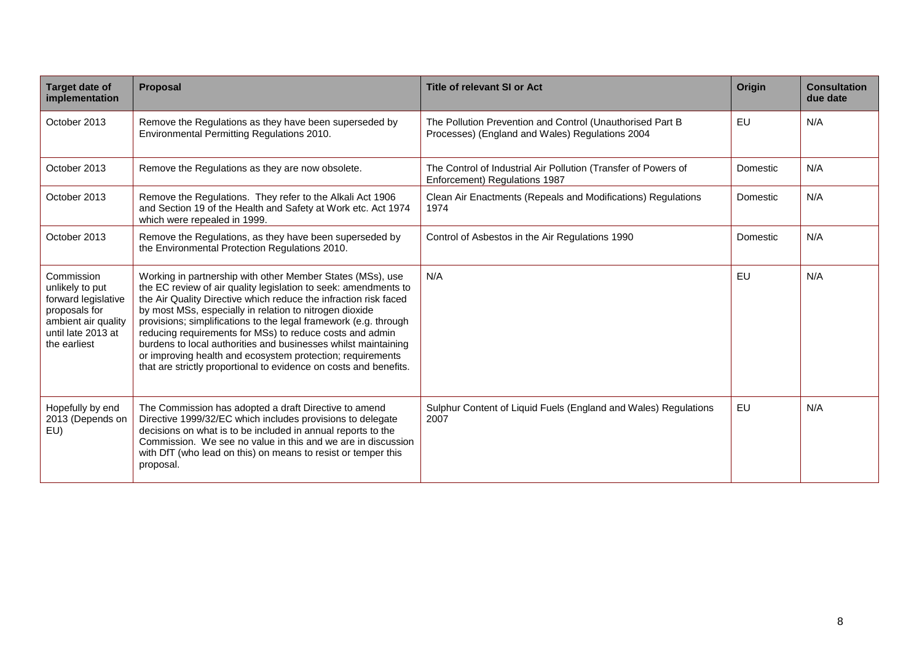| <b>Target date of</b><br>implementation                                                                                            | Proposal                                                                                                                                                                                                                                                                                                                                                                                                                                                                                                                                                                                          | <b>Title of relevant SI or Act</b>                                                                           | Origin   | <b>Consultation</b><br>due date |
|------------------------------------------------------------------------------------------------------------------------------------|---------------------------------------------------------------------------------------------------------------------------------------------------------------------------------------------------------------------------------------------------------------------------------------------------------------------------------------------------------------------------------------------------------------------------------------------------------------------------------------------------------------------------------------------------------------------------------------------------|--------------------------------------------------------------------------------------------------------------|----------|---------------------------------|
| October 2013                                                                                                                       | Remove the Regulations as they have been superseded by<br>Environmental Permitting Regulations 2010.                                                                                                                                                                                                                                                                                                                                                                                                                                                                                              | The Pollution Prevention and Control (Unauthorised Part B<br>Processes) (England and Wales) Regulations 2004 | EU       | N/A                             |
| October 2013                                                                                                                       | Remove the Regulations as they are now obsolete.                                                                                                                                                                                                                                                                                                                                                                                                                                                                                                                                                  | The Control of Industrial Air Pollution (Transfer of Powers of<br>Enforcement) Regulations 1987              | Domestic | N/A                             |
| October 2013                                                                                                                       | Remove the Regulations. They refer to the Alkali Act 1906<br>and Section 19 of the Health and Safety at Work etc. Act 1974<br>which were repealed in 1999.                                                                                                                                                                                                                                                                                                                                                                                                                                        | Clean Air Enactments (Repeals and Modifications) Regulations<br>1974                                         | Domestic | N/A                             |
| October 2013                                                                                                                       | Remove the Regulations, as they have been superseded by<br>the Environmental Protection Regulations 2010.                                                                                                                                                                                                                                                                                                                                                                                                                                                                                         | Control of Asbestos in the Air Regulations 1990                                                              | Domestic | N/A                             |
| Commission<br>unlikely to put<br>forward legislative<br>proposals for<br>ambient air quality<br>until late 2013 at<br>the earliest | Working in partnership with other Member States (MSs), use<br>the EC review of air quality legislation to seek: amendments to<br>the Air Quality Directive which reduce the infraction risk faced<br>by most MSs, especially in relation to nitrogen dioxide<br>provisions; simplifications to the legal framework (e.g. through<br>reducing requirements for MSs) to reduce costs and admin<br>burdens to local authorities and businesses whilst maintaining<br>or improving health and ecosystem protection; requirements<br>that are strictly proportional to evidence on costs and benefits. | N/A                                                                                                          | EU       | N/A                             |
| Hopefully by end<br>2013 (Depends on<br>EU)                                                                                        | The Commission has adopted a draft Directive to amend<br>Directive 1999/32/EC which includes provisions to delegate<br>decisions on what is to be included in annual reports to the<br>Commission. We see no value in this and we are in discussion<br>with DfT (who lead on this) on means to resist or temper this<br>proposal.                                                                                                                                                                                                                                                                 | Sulphur Content of Liquid Fuels (England and Wales) Regulations<br>2007                                      | EU       | N/A                             |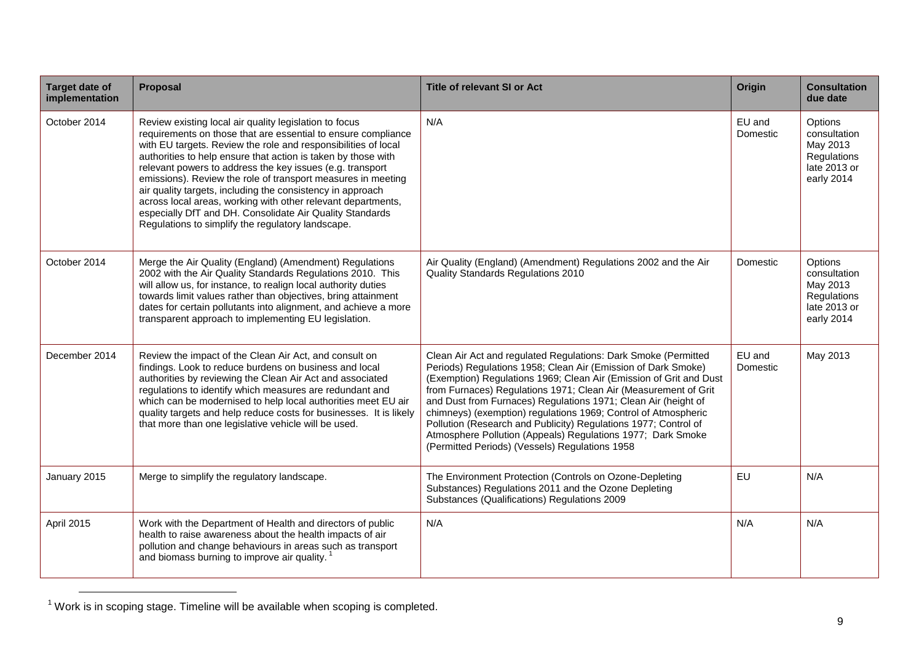| <b>Target date of</b><br>implementation | Proposal                                                                                                                                                                                                                                                                                                                                                                                                                                                                                                                                                                                                                               | <b>Title of relevant SI or Act</b>                                                                                                                                                                                                                                                                                                                                                                                                                                                                                                                                                               | Origin             | <b>Consultation</b><br>due date                                                  |
|-----------------------------------------|----------------------------------------------------------------------------------------------------------------------------------------------------------------------------------------------------------------------------------------------------------------------------------------------------------------------------------------------------------------------------------------------------------------------------------------------------------------------------------------------------------------------------------------------------------------------------------------------------------------------------------------|--------------------------------------------------------------------------------------------------------------------------------------------------------------------------------------------------------------------------------------------------------------------------------------------------------------------------------------------------------------------------------------------------------------------------------------------------------------------------------------------------------------------------------------------------------------------------------------------------|--------------------|----------------------------------------------------------------------------------|
| October 2014                            | Review existing local air quality legislation to focus<br>requirements on those that are essential to ensure compliance<br>with EU targets. Review the role and responsibilities of local<br>authorities to help ensure that action is taken by those with<br>relevant powers to address the key issues (e.g. transport<br>emissions). Review the role of transport measures in meeting<br>air quality targets, including the consistency in approach<br>across local areas, working with other relevant departments,<br>especially DfT and DH. Consolidate Air Quality Standards<br>Regulations to simplify the regulatory landscape. | N/A                                                                                                                                                                                                                                                                                                                                                                                                                                                                                                                                                                                              | EU and<br>Domestic | Options<br>consultation<br>May 2013<br>Regulations<br>late 2013 or<br>early 2014 |
| October 2014                            | Merge the Air Quality (England) (Amendment) Regulations<br>2002 with the Air Quality Standards Regulations 2010. This<br>will allow us, for instance, to realign local authority duties<br>towards limit values rather than objectives, bring attainment<br>dates for certain pollutants into alignment, and achieve a more<br>transparent approach to implementing EU legislation.                                                                                                                                                                                                                                                    | Air Quality (England) (Amendment) Regulations 2002 and the Air<br>Quality Standards Regulations 2010                                                                                                                                                                                                                                                                                                                                                                                                                                                                                             | Domestic           | Options<br>consultation<br>May 2013<br>Regulations<br>late 2013 or<br>early 2014 |
| December 2014                           | Review the impact of the Clean Air Act, and consult on<br>findings. Look to reduce burdens on business and local<br>authorities by reviewing the Clean Air Act and associated<br>regulations to identify which measures are redundant and<br>which can be modernised to help local authorities meet EU air<br>quality targets and help reduce costs for businesses. It is likely<br>that more than one legislative vehicle will be used.                                                                                                                                                                                               | Clean Air Act and regulated Regulations: Dark Smoke (Permitted<br>Periods) Regulations 1958; Clean Air (Emission of Dark Smoke)<br>(Exemption) Regulations 1969; Clean Air (Emission of Grit and Dust<br>from Furnaces) Regulations 1971; Clean Air (Measurement of Grit<br>and Dust from Furnaces) Regulations 1971; Clean Air (height of<br>chimneys) (exemption) regulations 1969; Control of Atmospheric<br>Pollution (Research and Publicity) Regulations 1977; Control of<br>Atmosphere Pollution (Appeals) Regulations 1977; Dark Smoke<br>(Permitted Periods) (Vessels) Regulations 1958 | EU and<br>Domestic | May 2013                                                                         |
| January 2015                            | Merge to simplify the regulatory landscape.                                                                                                                                                                                                                                                                                                                                                                                                                                                                                                                                                                                            | The Environment Protection (Controls on Ozone-Depleting<br>Substances) Regulations 2011 and the Ozone Depleting<br>Substances (Qualifications) Regulations 2009                                                                                                                                                                                                                                                                                                                                                                                                                                  | EU                 | N/A                                                                              |
| April 2015                              | Work with the Department of Health and directors of public<br>health to raise awareness about the health impacts of air<br>pollution and change behaviours in areas such as transport<br>and biomass burning to improve air quality.                                                                                                                                                                                                                                                                                                                                                                                                   | N/A                                                                                                                                                                                                                                                                                                                                                                                                                                                                                                                                                                                              | N/A                | N/A                                                                              |

 $1$  Work is in scoping stage. Timeline will be available when scoping is completed.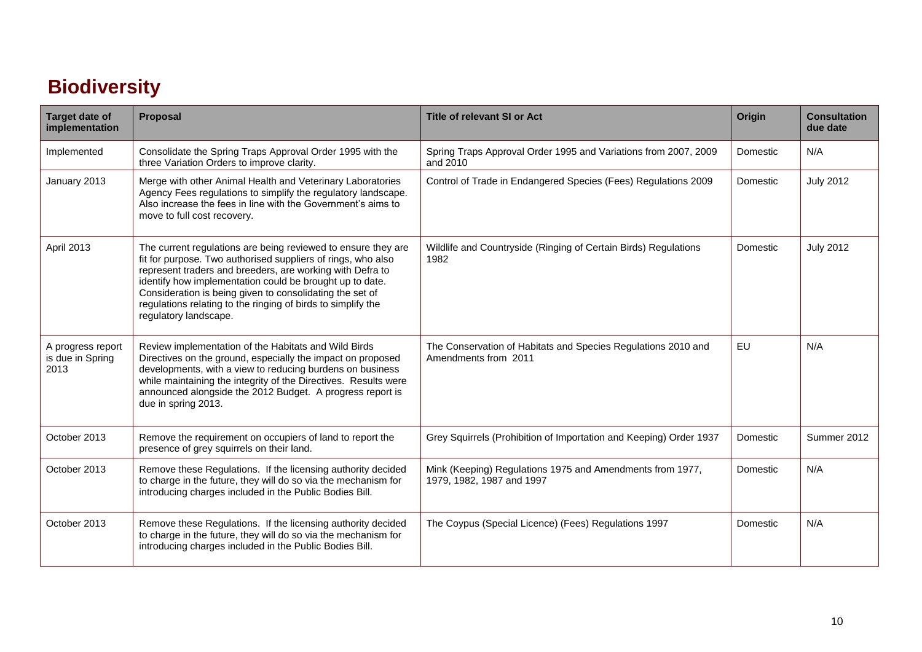### **Biodiversity**

<span id="page-9-0"></span>

| <b>Target date of</b><br>implementation       | Proposal                                                                                                                                                                                                                                                                                                                                                                                                    | <b>Title of relevant SI or Act</b>                                                     | Origin    | <b>Consultation</b><br>due date |
|-----------------------------------------------|-------------------------------------------------------------------------------------------------------------------------------------------------------------------------------------------------------------------------------------------------------------------------------------------------------------------------------------------------------------------------------------------------------------|----------------------------------------------------------------------------------------|-----------|---------------------------------|
| Implemented                                   | Consolidate the Spring Traps Approval Order 1995 with the<br>three Variation Orders to improve clarity.                                                                                                                                                                                                                                                                                                     | Spring Traps Approval Order 1995 and Variations from 2007, 2009<br>and 2010            | Domestic  | N/A                             |
| January 2013                                  | Merge with other Animal Health and Veterinary Laboratories<br>Agency Fees regulations to simplify the regulatory landscape.<br>Also increase the fees in line with the Government's aims to<br>move to full cost recovery.                                                                                                                                                                                  | Control of Trade in Endangered Species (Fees) Regulations 2009                         | Domestic  | <b>July 2012</b>                |
| April 2013                                    | The current regulations are being reviewed to ensure they are<br>fit for purpose. Two authorised suppliers of rings, who also<br>represent traders and breeders, are working with Defra to<br>identify how implementation could be brought up to date.<br>Consideration is being given to consolidating the set of<br>regulations relating to the ringing of birds to simplify the<br>regulatory landscape. | Wildlife and Countryside (Ringing of Certain Birds) Regulations<br>1982                | Domestic  | <b>July 2012</b>                |
| A progress report<br>is due in Spring<br>2013 | Review implementation of the Habitats and Wild Birds<br>Directives on the ground, especially the impact on proposed<br>developments, with a view to reducing burdens on business<br>while maintaining the integrity of the Directives. Results were<br>announced alongside the 2012 Budget. A progress report is<br>due in spring 2013.                                                                     | The Conservation of Habitats and Species Regulations 2010 and<br>Amendments from 2011  | <b>EU</b> | N/A                             |
| October 2013                                  | Remove the requirement on occupiers of land to report the<br>presence of grey squirrels on their land.                                                                                                                                                                                                                                                                                                      | Grey Squirrels (Prohibition of Importation and Keeping) Order 1937                     | Domestic  | Summer 2012                     |
| October 2013                                  | Remove these Regulations. If the licensing authority decided<br>to charge in the future, they will do so via the mechanism for<br>introducing charges included in the Public Bodies Bill.                                                                                                                                                                                                                   | Mink (Keeping) Regulations 1975 and Amendments from 1977,<br>1979, 1982, 1987 and 1997 | Domestic  | N/A                             |
| October 2013                                  | Remove these Regulations. If the licensing authority decided<br>to charge in the future, they will do so via the mechanism for<br>introducing charges included in the Public Bodies Bill.                                                                                                                                                                                                                   | The Coypus (Special Licence) (Fees) Regulations 1997                                   | Domestic  | N/A                             |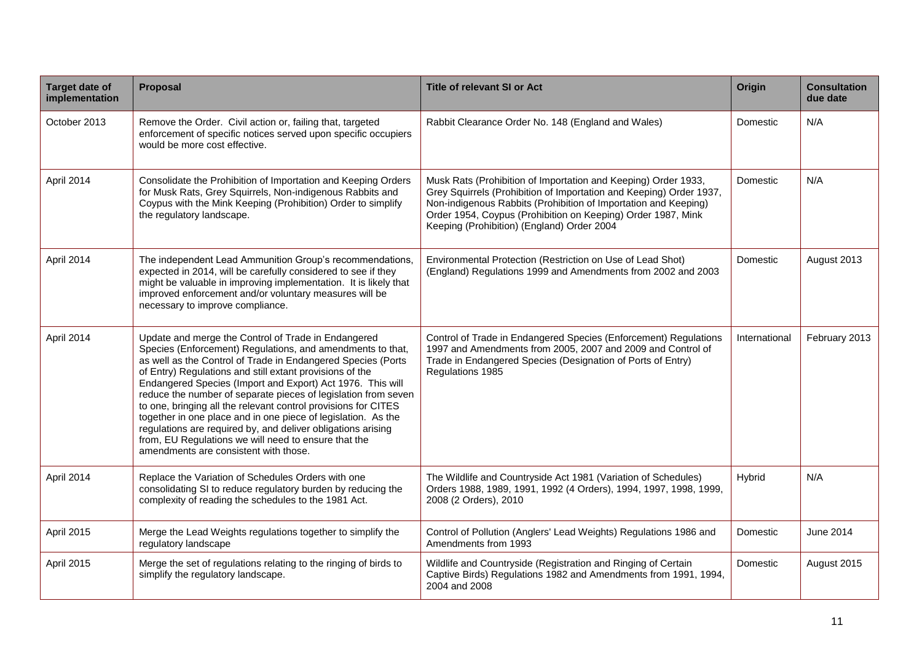| <b>Target date of</b><br>implementation | Proposal                                                                                                                                                                                                                                                                                                                                                                                                                                                                                                                                                                                                                                                                          | <b>Title of relevant SI or Act</b>                                                                                                                                                                                                                                                                                     | Origin        | <b>Consultation</b><br>due date |
|-----------------------------------------|-----------------------------------------------------------------------------------------------------------------------------------------------------------------------------------------------------------------------------------------------------------------------------------------------------------------------------------------------------------------------------------------------------------------------------------------------------------------------------------------------------------------------------------------------------------------------------------------------------------------------------------------------------------------------------------|------------------------------------------------------------------------------------------------------------------------------------------------------------------------------------------------------------------------------------------------------------------------------------------------------------------------|---------------|---------------------------------|
| October 2013                            | Remove the Order. Civil action or, failing that, targeted<br>enforcement of specific notices served upon specific occupiers<br>would be more cost effective.                                                                                                                                                                                                                                                                                                                                                                                                                                                                                                                      | Rabbit Clearance Order No. 148 (England and Wales)                                                                                                                                                                                                                                                                     | Domestic      | N/A                             |
| April 2014                              | Consolidate the Prohibition of Importation and Keeping Orders<br>for Musk Rats, Grey Squirrels, Non-indigenous Rabbits and<br>Coypus with the Mink Keeping (Prohibition) Order to simplify<br>the regulatory landscape.                                                                                                                                                                                                                                                                                                                                                                                                                                                           | Musk Rats (Prohibition of Importation and Keeping) Order 1933,<br>Grey Squirrels (Prohibition of Importation and Keeping) Order 1937,<br>Non-indigenous Rabbits (Prohibition of Importation and Keeping)<br>Order 1954, Coypus (Prohibition on Keeping) Order 1987, Mink<br>Keeping (Prohibition) (England) Order 2004 | Domestic      | N/A                             |
| April 2014                              | The independent Lead Ammunition Group's recommendations,<br>expected in 2014, will be carefully considered to see if they<br>might be valuable in improving implementation. It is likely that<br>improved enforcement and/or voluntary measures will be<br>necessary to improve compliance.                                                                                                                                                                                                                                                                                                                                                                                       | Environmental Protection (Restriction on Use of Lead Shot)<br>(England) Regulations 1999 and Amendments from 2002 and 2003                                                                                                                                                                                             | Domestic      | August 2013                     |
| April 2014                              | Update and merge the Control of Trade in Endangered<br>Species (Enforcement) Regulations, and amendments to that,<br>as well as the Control of Trade in Endangered Species (Ports<br>of Entry) Regulations and still extant provisions of the<br>Endangered Species (Import and Export) Act 1976. This will<br>reduce the number of separate pieces of legislation from seven<br>to one, bringing all the relevant control provisions for CITES<br>together in one place and in one piece of legislation. As the<br>regulations are required by, and deliver obligations arising<br>from, EU Regulations we will need to ensure that the<br>amendments are consistent with those. | Control of Trade in Endangered Species (Enforcement) Regulations<br>1997 and Amendments from 2005, 2007 and 2009 and Control of<br>Trade in Endangered Species (Designation of Ports of Entry)<br>Regulations 1985                                                                                                     | International | February 2013                   |
| April 2014                              | Replace the Variation of Schedules Orders with one<br>consolidating SI to reduce regulatory burden by reducing the<br>complexity of reading the schedules to the 1981 Act.                                                                                                                                                                                                                                                                                                                                                                                                                                                                                                        | The Wildlife and Countryside Act 1981 (Variation of Schedules)<br>Orders 1988, 1989, 1991, 1992 (4 Orders), 1994, 1997, 1998, 1999,<br>2008 (2 Orders), 2010                                                                                                                                                           | Hybrid        | N/A                             |
| April 2015                              | Merge the Lead Weights regulations together to simplify the<br>regulatory landscape                                                                                                                                                                                                                                                                                                                                                                                                                                                                                                                                                                                               | Control of Pollution (Anglers' Lead Weights) Regulations 1986 and<br>Amendments from 1993                                                                                                                                                                                                                              | Domestic      | June 2014                       |
| April 2015                              | Merge the set of regulations relating to the ringing of birds to<br>simplify the regulatory landscape.                                                                                                                                                                                                                                                                                                                                                                                                                                                                                                                                                                            | Wildlife and Countryside (Registration and Ringing of Certain<br>Captive Birds) Regulations 1982 and Amendments from 1991, 1994,<br>2004 and 2008                                                                                                                                                                      | Domestic      | August 2015                     |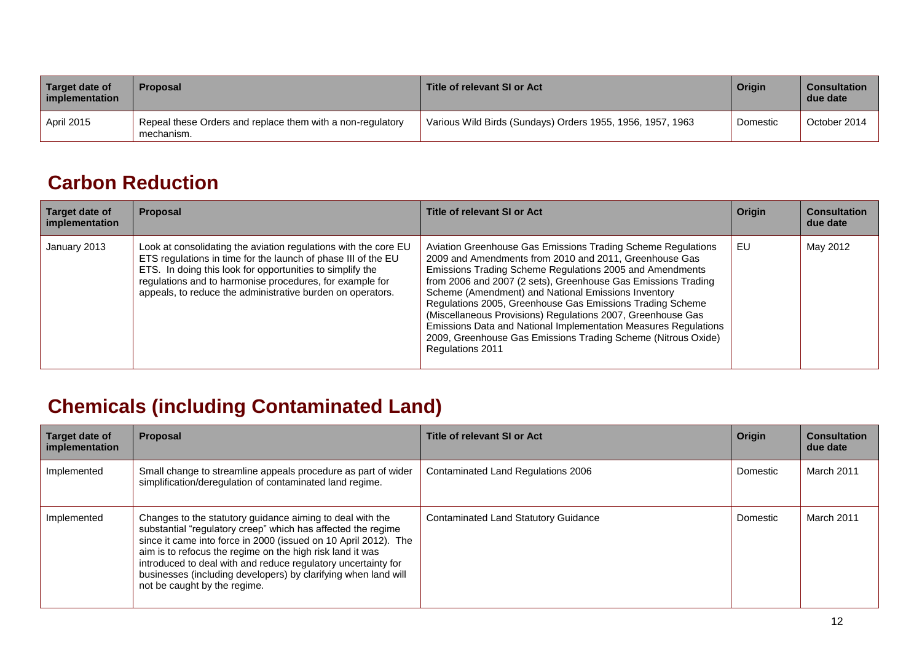| Target date of<br>implementation | <b>Proposal</b>                                                          | Title of relevant SI or Act                                | Origin   | <b>Consultation</b><br>due date |
|----------------------------------|--------------------------------------------------------------------------|------------------------------------------------------------|----------|---------------------------------|
| <b>April 2015</b>                | Repeal these Orders and replace them with a non-regulatory<br>mechanism. | Various Wild Birds (Sundays) Orders 1955, 1956, 1957, 1963 | Domestic | October 2014                    |

#### **Carbon Reduction**

| Target date of<br>implementation | <b>Proposal</b>                                                                                                                                                                                                                                                                                                         | Title of relevant SI or Act                                                                                                                                                                                                                                                                                                                                                                                                                                                                                                                                                                    | Origin | <b>Consultation</b><br>due date |
|----------------------------------|-------------------------------------------------------------------------------------------------------------------------------------------------------------------------------------------------------------------------------------------------------------------------------------------------------------------------|------------------------------------------------------------------------------------------------------------------------------------------------------------------------------------------------------------------------------------------------------------------------------------------------------------------------------------------------------------------------------------------------------------------------------------------------------------------------------------------------------------------------------------------------------------------------------------------------|--------|---------------------------------|
| January 2013                     | Look at consolidating the aviation regulations with the core EU<br>ETS regulations in time for the launch of phase III of the EU<br>ETS. In doing this look for opportunities to simplify the<br>regulations and to harmonise procedures, for example for<br>appeals, to reduce the administrative burden on operators. | Aviation Greenhouse Gas Emissions Trading Scheme Regulations<br>2009 and Amendments from 2010 and 2011, Greenhouse Gas<br>Emissions Trading Scheme Regulations 2005 and Amendments<br>from 2006 and 2007 (2 sets), Greenhouse Gas Emissions Trading<br>Scheme (Amendment) and National Emissions Inventory<br>Regulations 2005, Greenhouse Gas Emissions Trading Scheme<br>(Miscellaneous Provisions) Regulations 2007, Greenhouse Gas<br>Emissions Data and National Implementation Measures Regulations<br>2009, Greenhouse Gas Emissions Trading Scheme (Nitrous Oxide)<br>Regulations 2011 | EU     | May 2012                        |

### **Chemicals (including Contaminated Land)**

<span id="page-11-1"></span><span id="page-11-0"></span>

| Target date of<br>implementation | <b>Proposal</b>                                                                                                                                                                                                                                                                                                                                                                                                              | Title of relevant SI or Act                 | Origin   | <b>Consultation</b><br>due date |
|----------------------------------|------------------------------------------------------------------------------------------------------------------------------------------------------------------------------------------------------------------------------------------------------------------------------------------------------------------------------------------------------------------------------------------------------------------------------|---------------------------------------------|----------|---------------------------------|
| Implemented                      | Small change to streamline appeals procedure as part of wider<br>simplification/deregulation of contaminated land regime.                                                                                                                                                                                                                                                                                                    | Contaminated Land Regulations 2006          | Domestic | March 2011                      |
| Implemented                      | Changes to the statutory guidance aiming to deal with the<br>substantial "regulatory creep" which has affected the regime<br>since it came into force in 2000 (issued on 10 April 2012). The<br>aim is to refocus the regime on the high risk land it was<br>introduced to deal with and reduce regulatory uncertainty for<br>businesses (including developers) by clarifying when land will<br>not be caught by the regime. | <b>Contaminated Land Statutory Guidance</b> | Domestic | March 2011                      |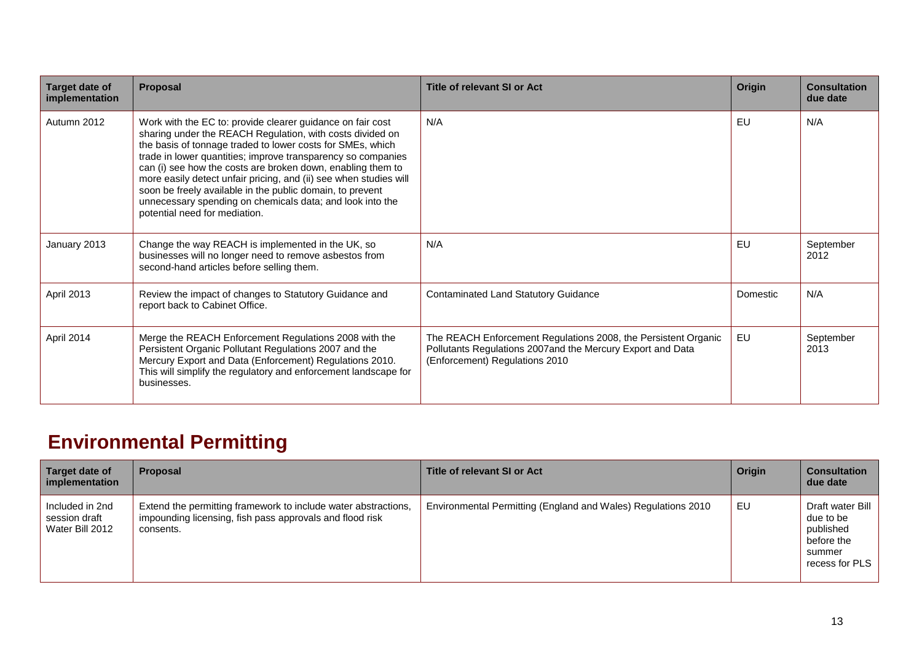| Target date of<br>implementation | Proposal                                                                                                                                                                                                                                                                                                                                                                                                                                                                                                                                             | Title of relevant SI or Act                                                                                                                                    | Origin   | <b>Consultation</b><br>due date |
|----------------------------------|------------------------------------------------------------------------------------------------------------------------------------------------------------------------------------------------------------------------------------------------------------------------------------------------------------------------------------------------------------------------------------------------------------------------------------------------------------------------------------------------------------------------------------------------------|----------------------------------------------------------------------------------------------------------------------------------------------------------------|----------|---------------------------------|
| Autumn 2012                      | Work with the EC to: provide clearer guidance on fair cost<br>sharing under the REACH Regulation, with costs divided on<br>the basis of tonnage traded to lower costs for SMEs, which<br>trade in lower quantities; improve transparency so companies<br>can (i) see how the costs are broken down, enabling them to<br>more easily detect unfair pricing, and (ii) see when studies will<br>soon be freely available in the public domain, to prevent<br>unnecessary spending on chemicals data; and look into the<br>potential need for mediation. | N/A                                                                                                                                                            | EU       | N/A                             |
| January 2013                     | Change the way REACH is implemented in the UK, so<br>businesses will no longer need to remove asbestos from<br>second-hand articles before selling them.                                                                                                                                                                                                                                                                                                                                                                                             | N/A                                                                                                                                                            | EU       | September<br>2012               |
| April 2013                       | Review the impact of changes to Statutory Guidance and<br>report back to Cabinet Office.                                                                                                                                                                                                                                                                                                                                                                                                                                                             | Contaminated Land Statutory Guidance                                                                                                                           | Domestic | N/A                             |
| April 2014                       | Merge the REACH Enforcement Regulations 2008 with the<br>Persistent Organic Pollutant Regulations 2007 and the<br>Mercury Export and Data (Enforcement) Regulations 2010.<br>This will simplify the regulatory and enforcement landscape for<br>businesses.                                                                                                                                                                                                                                                                                          | The REACH Enforcement Regulations 2008, the Persistent Organic<br>Pollutants Regulations 2007and the Mercury Export and Data<br>(Enforcement) Regulations 2010 | EU       | September<br>2013               |

### **Environmental Permitting**

<span id="page-12-0"></span>

| Target date of<br>implementation                    | <b>Proposal</b>                                                                                                                         | Title of relevant SI or Act                                   | Origin | <b>Consultation</b><br>due date                                                      |
|-----------------------------------------------------|-----------------------------------------------------------------------------------------------------------------------------------------|---------------------------------------------------------------|--------|--------------------------------------------------------------------------------------|
| Included in 2nd<br>session draft<br>Water Bill 2012 | Extend the permitting framework to include water abstractions,<br>impounding licensing, fish pass approvals and flood risk<br>consents. | Environmental Permitting (England and Wales) Regulations 2010 | EU     | Draft water Bill<br>due to be<br>published<br>before the<br>summer<br>recess for PLS |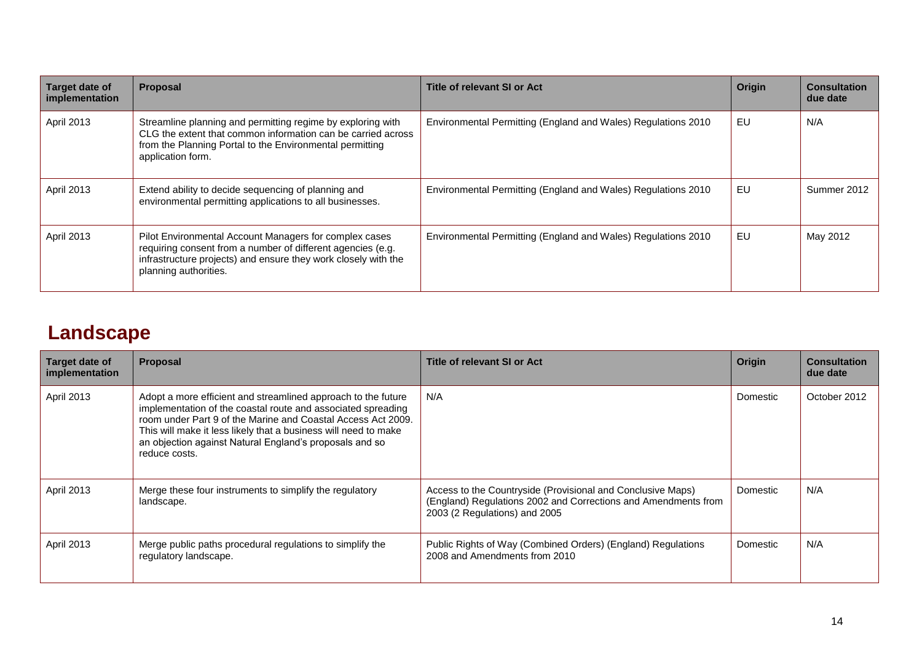| Target date of<br>implementation | <b>Proposal</b>                                                                                                                                                                                                  | Title of relevant SI or Act                                   | Origin | <b>Consultation</b><br>due date |
|----------------------------------|------------------------------------------------------------------------------------------------------------------------------------------------------------------------------------------------------------------|---------------------------------------------------------------|--------|---------------------------------|
| April 2013                       | Streamline planning and permitting regime by exploring with<br>CLG the extent that common information can be carried across<br>from the Planning Portal to the Environmental permitting<br>application form.     | Environmental Permitting (England and Wales) Regulations 2010 | EU     | N/A                             |
| April 2013                       | Extend ability to decide sequencing of planning and<br>environmental permitting applications to all businesses.                                                                                                  | Environmental Permitting (England and Wales) Regulations 2010 | EU     | Summer 2012                     |
| April 2013                       | Pilot Environmental Account Managers for complex cases<br>requiring consent from a number of different agencies (e.g.<br>infrastructure projects) and ensure they work closely with the<br>planning authorities. | Environmental Permitting (England and Wales) Regulations 2010 | EU     | May 2012                        |

### **Landscape**

<span id="page-13-0"></span>

| Target date of<br>implementation | <b>Proposal</b>                                                                                                                                                                                                                                                                                                                              | Title of relevant SI or Act                                                                                                                                    | Origin   | <b>Consultation</b><br>due date |
|----------------------------------|----------------------------------------------------------------------------------------------------------------------------------------------------------------------------------------------------------------------------------------------------------------------------------------------------------------------------------------------|----------------------------------------------------------------------------------------------------------------------------------------------------------------|----------|---------------------------------|
| April 2013                       | Adopt a more efficient and streamlined approach to the future<br>implementation of the coastal route and associated spreading<br>room under Part 9 of the Marine and Coastal Access Act 2009.<br>This will make it less likely that a business will need to make<br>an objection against Natural England's proposals and so<br>reduce costs. | N/A                                                                                                                                                            | Domestic | October 2012                    |
| <b>April 2013</b>                | Merge these four instruments to simplify the regulatory<br>landscape.                                                                                                                                                                                                                                                                        | Access to the Countryside (Provisional and Conclusive Maps)<br>(England) Regulations 2002 and Corrections and Amendments from<br>2003 (2 Regulations) and 2005 | Domestic | N/A                             |
| April 2013                       | Merge public paths procedural regulations to simplify the<br>regulatory landscape.                                                                                                                                                                                                                                                           | Public Rights of Way (Combined Orders) (England) Regulations<br>2008 and Amendments from 2010                                                                  | Domestic | N/A                             |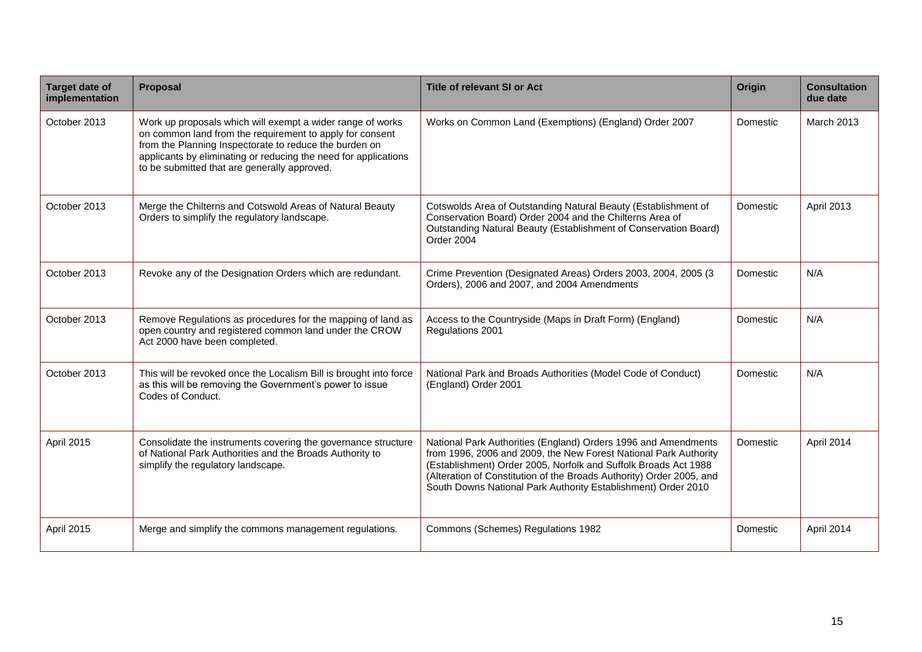| <b>Target date of</b><br>implementation | <b>Proposal</b>                                                                                                                                                                                                                                                                                     | <b>Title of relevant SI or Act</b>                                                                                                                                                                                                                                                                                                             | Origin   | <b>Consultation</b><br>due date |
|-----------------------------------------|-----------------------------------------------------------------------------------------------------------------------------------------------------------------------------------------------------------------------------------------------------------------------------------------------------|------------------------------------------------------------------------------------------------------------------------------------------------------------------------------------------------------------------------------------------------------------------------------------------------------------------------------------------------|----------|---------------------------------|
| October 2013                            | Work up proposals which will exempt a wider range of works<br>on common land from the requirement to apply for consent<br>from the Planning Inspectorate to reduce the burden on<br>applicants by eliminating or reducing the need for applications<br>to be submitted that are generally approved. | Works on Common Land (Exemptions) (England) Order 2007                                                                                                                                                                                                                                                                                         | Domestic | <b>March 2013</b>               |
| October 2013                            | Merge the Chilterns and Cotswold Areas of Natural Beauty<br>Orders to simplify the regulatory landscape.                                                                                                                                                                                            | Cotswolds Area of Outstanding Natural Beauty (Establishment of<br>Conservation Board) Order 2004 and the Chilterns Area of<br>Outstanding Natural Beauty (Establishment of Conservation Board)<br>Order 2004                                                                                                                                   | Domestic | April 2013                      |
| October 2013                            | Revoke any of the Designation Orders which are redundant.                                                                                                                                                                                                                                           | Crime Prevention (Designated Areas) Orders 2003, 2004, 2005 (3<br>Orders), 2006 and 2007, and 2004 Amendments                                                                                                                                                                                                                                  | Domestic | N/A                             |
| October 2013                            | Remove Regulations as procedures for the mapping of land as<br>open country and registered common land under the CROW<br>Act 2000 have been completed.                                                                                                                                              | Access to the Countryside (Maps in Draft Form) (England)<br>Regulations 2001                                                                                                                                                                                                                                                                   | Domestic | N/A                             |
| October 2013                            | This will be revoked once the Localism Bill is brought into force<br>as this will be removing the Government's power to issue<br>Codes of Conduct.                                                                                                                                                  | National Park and Broads Authorities (Model Code of Conduct)<br>(England) Order 2001                                                                                                                                                                                                                                                           | Domestic | N/A                             |
| April 2015                              | Consolidate the instruments covering the governance structure<br>of National Park Authorities and the Broads Authority to<br>simplify the regulatory landscape.                                                                                                                                     | National Park Authorities (England) Orders 1996 and Amendments<br>from 1996, 2006 and 2009, the New Forest National Park Authority<br>(Establishment) Order 2005, Norfolk and Suffolk Broads Act 1988<br>(Alteration of Constitution of the Broads Authority) Order 2005, and<br>South Downs National Park Authority Establishment) Order 2010 | Domestic | April 2014                      |
| April 2015                              | Merge and simplify the commons management regulations.                                                                                                                                                                                                                                              | Commons (Schemes) Regulations 1982                                                                                                                                                                                                                                                                                                             | Domestic | April 2014                      |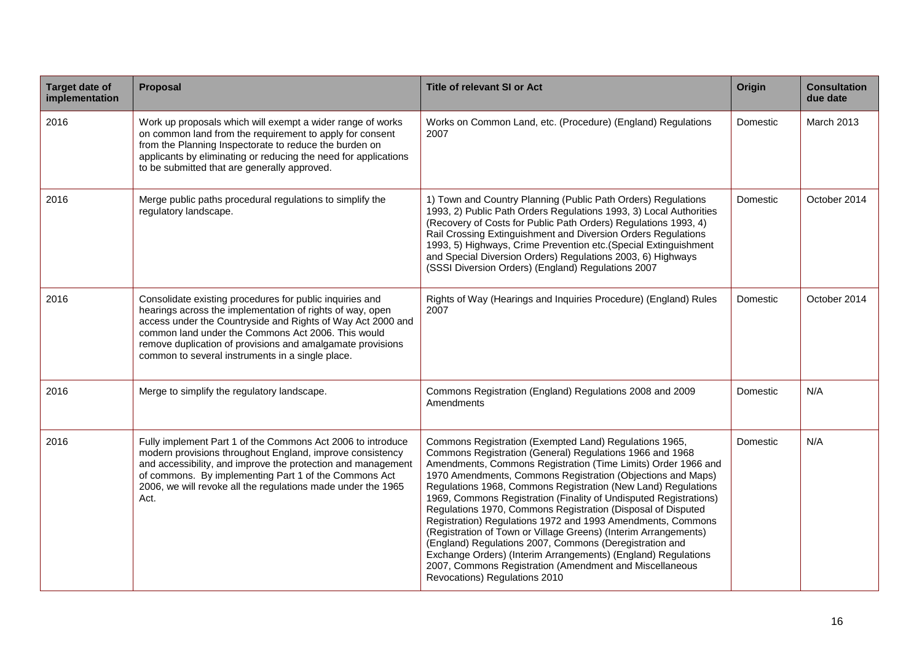| <b>Target date of</b><br>implementation | Proposal                                                                                                                                                                                                                                                                                                                                                     | <b>Title of relevant SI or Act</b>                                                                                                                                                                                                                                                                                                                                                                                                                                                                                                                                                                                                                                                                                                                                                                                 | <b>Origin</b> | <b>Consultation</b><br>due date |
|-----------------------------------------|--------------------------------------------------------------------------------------------------------------------------------------------------------------------------------------------------------------------------------------------------------------------------------------------------------------------------------------------------------------|--------------------------------------------------------------------------------------------------------------------------------------------------------------------------------------------------------------------------------------------------------------------------------------------------------------------------------------------------------------------------------------------------------------------------------------------------------------------------------------------------------------------------------------------------------------------------------------------------------------------------------------------------------------------------------------------------------------------------------------------------------------------------------------------------------------------|---------------|---------------------------------|
| 2016                                    | Work up proposals which will exempt a wider range of works<br>on common land from the requirement to apply for consent<br>from the Planning Inspectorate to reduce the burden on<br>applicants by eliminating or reducing the need for applications<br>to be submitted that are generally approved.                                                          | Works on Common Land, etc. (Procedure) (England) Regulations<br>2007                                                                                                                                                                                                                                                                                                                                                                                                                                                                                                                                                                                                                                                                                                                                               | Domestic      | March 2013                      |
| 2016                                    | Merge public paths procedural regulations to simplify the<br>regulatory landscape.                                                                                                                                                                                                                                                                           | 1) Town and Country Planning (Public Path Orders) Regulations<br>1993, 2) Public Path Orders Regulations 1993, 3) Local Authorities<br>(Recovery of Costs for Public Path Orders) Regulations 1993, 4)<br>Rail Crossing Extinguishment and Diversion Orders Regulations<br>1993, 5) Highways, Crime Prevention etc. (Special Extinguishment<br>and Special Diversion Orders) Regulations 2003, 6) Highways<br>(SSSI Diversion Orders) (England) Regulations 2007                                                                                                                                                                                                                                                                                                                                                   | Domestic      | October 2014                    |
| 2016                                    | Consolidate existing procedures for public inquiries and<br>hearings across the implementation of rights of way, open<br>access under the Countryside and Rights of Way Act 2000 and<br>common land under the Commons Act 2006. This would<br>remove duplication of provisions and amalgamate provisions<br>common to several instruments in a single place. | Rights of Way (Hearings and Inquiries Procedure) (England) Rules<br>2007                                                                                                                                                                                                                                                                                                                                                                                                                                                                                                                                                                                                                                                                                                                                           | Domestic      | October 2014                    |
| 2016                                    | Merge to simplify the regulatory landscape.                                                                                                                                                                                                                                                                                                                  | Commons Registration (England) Regulations 2008 and 2009<br>Amendments                                                                                                                                                                                                                                                                                                                                                                                                                                                                                                                                                                                                                                                                                                                                             | Domestic      | N/A                             |
| 2016                                    | Fully implement Part 1 of the Commons Act 2006 to introduce<br>modern provisions throughout England, improve consistency<br>and accessibility, and improve the protection and management<br>of commons. By implementing Part 1 of the Commons Act<br>2006, we will revoke all the regulations made under the 1965<br>Act.                                    | Commons Registration (Exempted Land) Regulations 1965,<br>Commons Registration (General) Regulations 1966 and 1968<br>Amendments, Commons Registration (Time Limits) Order 1966 and<br>1970 Amendments, Commons Registration (Objections and Maps)<br>Regulations 1968, Commons Registration (New Land) Regulations<br>1969, Commons Registration (Finality of Undisputed Registrations)<br>Regulations 1970, Commons Registration (Disposal of Disputed<br>Registration) Regulations 1972 and 1993 Amendments, Commons<br>(Registration of Town or Village Greens) (Interim Arrangements)<br>(England) Regulations 2007, Commons (Deregistration and<br>Exchange Orders) (Interim Arrangements) (England) Regulations<br>2007, Commons Registration (Amendment and Miscellaneous<br>Revocations) Regulations 2010 | Domestic      | N/A                             |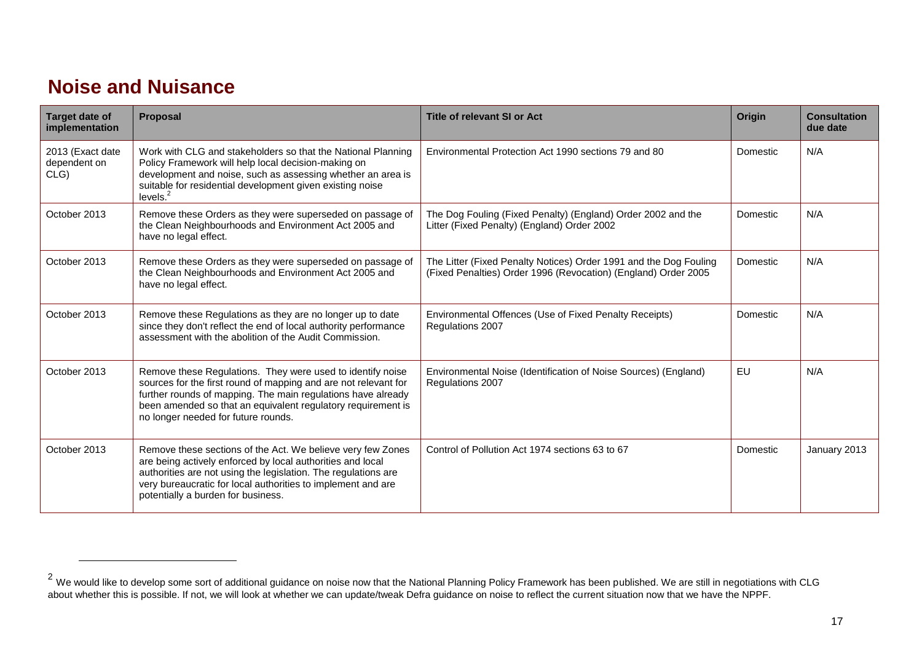#### **Noise and Nuisance**

| Target date of<br>implementation         | <b>Proposal</b>                                                                                                                                                                                                                                                                                      | <b>Title of relevant SI or Act</b>                                                                                                  | Origin    | <b>Consultation</b><br>due date |
|------------------------------------------|------------------------------------------------------------------------------------------------------------------------------------------------------------------------------------------------------------------------------------------------------------------------------------------------------|-------------------------------------------------------------------------------------------------------------------------------------|-----------|---------------------------------|
| 2013 (Exact date<br>dependent on<br>CLG) | Work with CLG and stakeholders so that the National Planning<br>Policy Framework will help local decision-making on<br>development and noise, such as assessing whether an area is<br>suitable for residential development given existing noise<br>levels. <sup>2</sup>                              | Environmental Protection Act 1990 sections 79 and 80                                                                                | Domestic  | N/A                             |
| October 2013                             | Remove these Orders as they were superseded on passage of<br>the Clean Neighbourhoods and Environment Act 2005 and<br>have no legal effect.                                                                                                                                                          | The Dog Fouling (Fixed Penalty) (England) Order 2002 and the<br>Litter (Fixed Penalty) (England) Order 2002                         | Domestic  | N/A                             |
| October 2013                             | Remove these Orders as they were superseded on passage of<br>the Clean Neighbourhoods and Environment Act 2005 and<br>have no legal effect.                                                                                                                                                          | The Litter (Fixed Penalty Notices) Order 1991 and the Dog Fouling<br>(Fixed Penalties) Order 1996 (Revocation) (England) Order 2005 | Domestic  | N/A                             |
| October 2013                             | Remove these Regulations as they are no longer up to date<br>since they don't reflect the end of local authority performance<br>assessment with the abolition of the Audit Commission.                                                                                                               | Environmental Offences (Use of Fixed Penalty Receipts)<br>Regulations 2007                                                          | Domestic  | N/A                             |
| October 2013                             | Remove these Regulations. They were used to identify noise<br>sources for the first round of mapping and are not relevant for<br>further rounds of mapping. The main regulations have already<br>been amended so that an equivalent regulatory requirement is<br>no longer needed for future rounds. | Environmental Noise (Identification of Noise Sources) (England)<br>Regulations 2007                                                 | <b>EU</b> | N/A                             |
| October 2013                             | Remove these sections of the Act. We believe very few Zones<br>are being actively enforced by local authorities and local<br>authorities are not using the legislation. The regulations are<br>very bureaucratic for local authorities to implement and are<br>potentially a burden for business.    | Control of Pollution Act 1974 sections 63 to 67                                                                                     | Domestic  | January 2013                    |

<span id="page-16-0"></span> $^2$  We would like to develop some sort of additional guidance on noise now that the National Planning Policy Framework has been published. We are still in negotiations with CLG about whether this is possible. If not, we will look at whether we can update/tweak Defra guidance on noise to reflect the current situation now that we have the NPPF.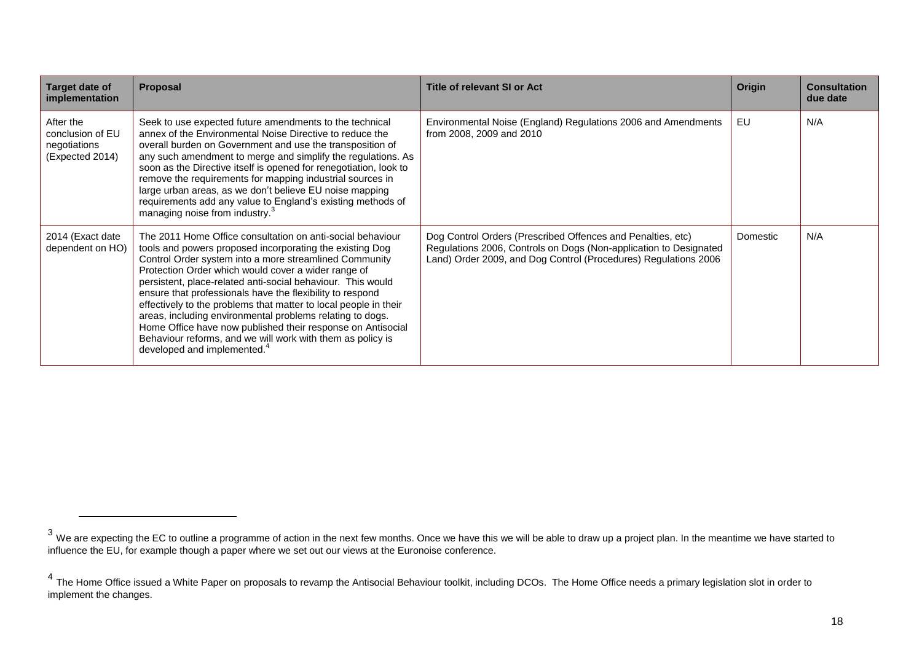| Target date of<br>implementation                                 | Proposal                                                                                                                                                                                                                                                                                                                                                                                                                                                                                                                                                                                                                                                                     | <b>Title of relevant SI or Act</b>                                                                                                                                                                  | <b>Origin</b> | <b>Consultation</b><br>due date |
|------------------------------------------------------------------|------------------------------------------------------------------------------------------------------------------------------------------------------------------------------------------------------------------------------------------------------------------------------------------------------------------------------------------------------------------------------------------------------------------------------------------------------------------------------------------------------------------------------------------------------------------------------------------------------------------------------------------------------------------------------|-----------------------------------------------------------------------------------------------------------------------------------------------------------------------------------------------------|---------------|---------------------------------|
| After the<br>conclusion of EU<br>negotiations<br>(Expected 2014) | Seek to use expected future amendments to the technical<br>annex of the Environmental Noise Directive to reduce the<br>overall burden on Government and use the transposition of<br>any such amendment to merge and simplify the regulations. As<br>soon as the Directive itself is opened for renegotiation, look to<br>remove the requirements for mapping industrial sources in<br>large urban areas, as we don't believe EU noise mapping<br>requirements add any value to England's existing methods of<br>managing noise from industry. <sup>3</sup>                                                                                                                   | Environmental Noise (England) Regulations 2006 and Amendments<br>from 2008, 2009 and 2010                                                                                                           | EU            | N/A                             |
| 2014 (Exact date<br>dependent on HO)                             | The 2011 Home Office consultation on anti-social behaviour<br>tools and powers proposed incorporating the existing Dog<br>Control Order system into a more streamlined Community<br>Protection Order which would cover a wider range of<br>persistent, place-related anti-social behaviour. This would<br>ensure that professionals have the flexibility to respond<br>effectively to the problems that matter to local people in their<br>areas, including environmental problems relating to dogs.<br>Home Office have now published their response on Antisocial<br>Behaviour reforms, and we will work with them as policy is<br>developed and implemented. <sup>4</sup> | Dog Control Orders (Prescribed Offences and Penalties, etc)<br>Regulations 2006, Controls on Dogs (Non-application to Designated<br>Land) Order 2009, and Dog Control (Procedures) Regulations 2006 | Domestic      | N/A                             |

 $^3$  We are expecting the EC to outline a programme of action in the next few months. Once we have this we will be able to draw up a project plan. In the meantime we have started to influence the EU, for example though a paper where we set out our views at the Euronoise conference.

<sup>&</sup>lt;sup>4</sup> The Home Office issued a White Paper on proposals to revamp the Antisocial Behaviour toolkit, including DCOs. The Home Office needs a primary legislation slot in order to implement the changes.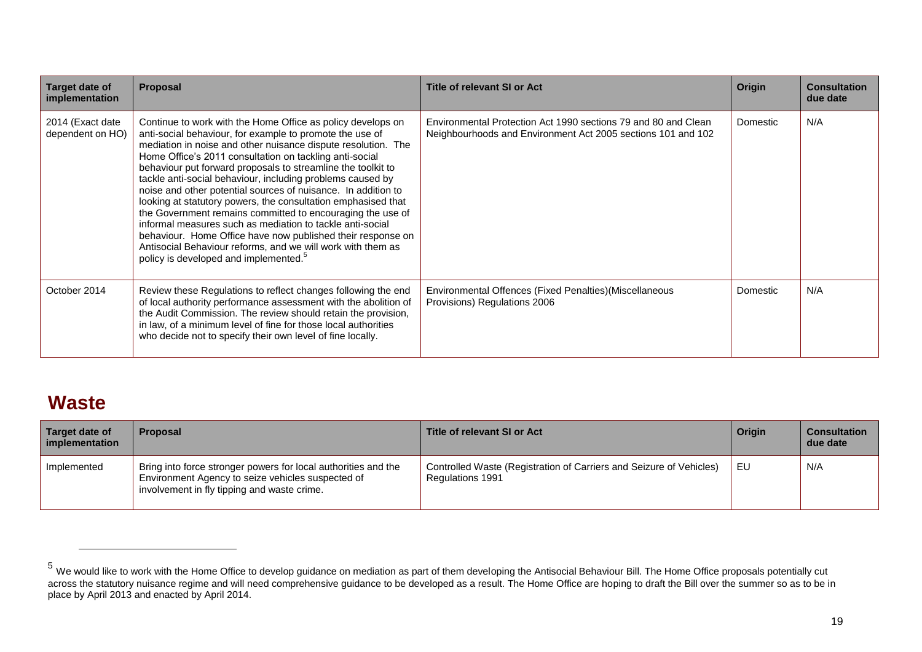| Target date of<br>implementation     | <b>Proposal</b>                                                                                                                                                                                                                                                                                                                                                                                                                                                                                                                                                                                                                                                                                                                                                                                                                   | <b>Title of relevant SI or Act</b>                                                                                             | Origin   | <b>Consultation</b><br>due date |
|--------------------------------------|-----------------------------------------------------------------------------------------------------------------------------------------------------------------------------------------------------------------------------------------------------------------------------------------------------------------------------------------------------------------------------------------------------------------------------------------------------------------------------------------------------------------------------------------------------------------------------------------------------------------------------------------------------------------------------------------------------------------------------------------------------------------------------------------------------------------------------------|--------------------------------------------------------------------------------------------------------------------------------|----------|---------------------------------|
| 2014 (Exact date<br>dependent on HO) | Continue to work with the Home Office as policy develops on<br>anti-social behaviour, for example to promote the use of<br>mediation in noise and other nuisance dispute resolution. The<br>Home Office's 2011 consultation on tackling anti-social<br>behaviour put forward proposals to streamline the toolkit to<br>tackle anti-social behaviour, including problems caused by<br>noise and other potential sources of nuisance. In addition to<br>looking at statutory powers, the consultation emphasised that<br>the Government remains committed to encouraging the use of<br>informal measures such as mediation to tackle anti-social<br>behaviour. Home Office have now published their response on<br>Antisocial Behaviour reforms, and we will work with them as<br>policy is developed and implemented. <sup>5</sup> | Environmental Protection Act 1990 sections 79 and 80 and Clean<br>Neighbourhoods and Environment Act 2005 sections 101 and 102 | Domestic | N/A                             |
| October 2014                         | Review these Regulations to reflect changes following the end<br>of local authority performance assessment with the abolition of<br>the Audit Commission. The review should retain the provision,<br>in law, of a minimum level of fine for those local authorities<br>who decide not to specify their own level of fine locally.                                                                                                                                                                                                                                                                                                                                                                                                                                                                                                 | Environmental Offences (Fixed Penalties) (Miscellaneous<br>Provisions) Regulations 2006                                        | Domestic | N/A                             |

### **Waste**

| Target date of<br>implementation | <b>Proposal</b>                                                                                                                                                    | <b>Title of relevant SI or Act</b>                                                      | Origin | <b>Consultation</b><br>due date |
|----------------------------------|--------------------------------------------------------------------------------------------------------------------------------------------------------------------|-----------------------------------------------------------------------------------------|--------|---------------------------------|
| Implemented                      | Bring into force stronger powers for local authorities and the<br>Environment Agency to seize vehicles suspected of<br>involvement in fly tipping and waste crime. | Controlled Waste (Registration of Carriers and Seizure of Vehicles)<br>Regulations 1991 | EU     | N/A                             |

<span id="page-18-0"></span><sup>&</sup>lt;sup>5</sup> We would like to work with the Home Office to develop guidance on mediation as part of them developing the Antisocial Behaviour Bill. The Home Office proposals potentially cut across the statutory nuisance regime and will need comprehensive guidance to be developed as a result. The Home Office are hoping to draft the Bill over the summer so as to be in place by April 2013 and enacted by April 2014.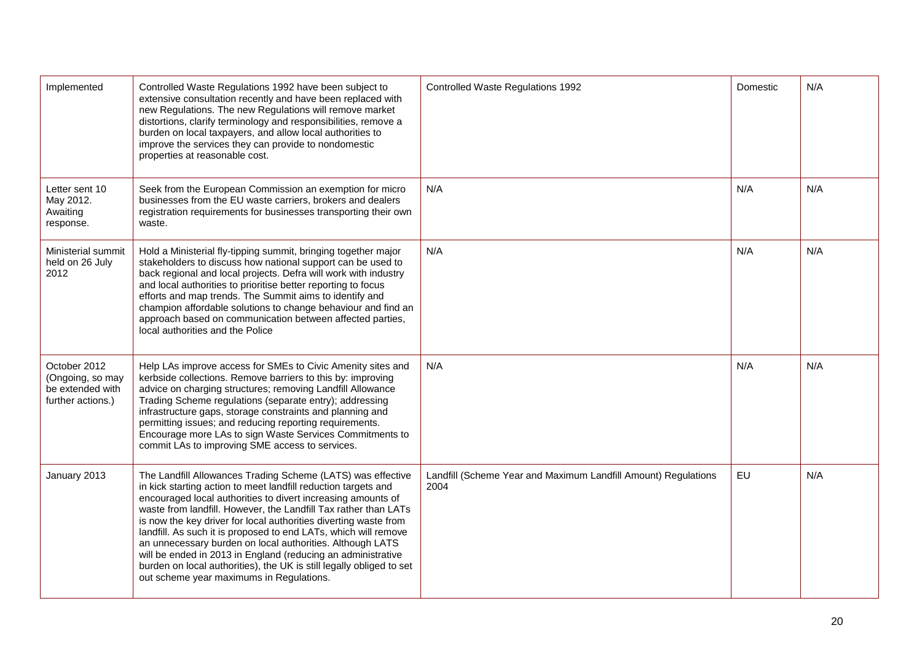| Implemented                                                               | Controlled Waste Regulations 1992 have been subject to<br>extensive consultation recently and have been replaced with<br>new Regulations. The new Regulations will remove market<br>distortions, clarify terminology and responsibilities, remove a<br>burden on local taxpayers, and allow local authorities to<br>improve the services they can provide to nondomestic<br>properties at reasonable cost.                                                                                                                                                                                                                                               | Controlled Waste Regulations 1992                                      | Domestic | N/A |
|---------------------------------------------------------------------------|----------------------------------------------------------------------------------------------------------------------------------------------------------------------------------------------------------------------------------------------------------------------------------------------------------------------------------------------------------------------------------------------------------------------------------------------------------------------------------------------------------------------------------------------------------------------------------------------------------------------------------------------------------|------------------------------------------------------------------------|----------|-----|
| Letter sent 10<br>May 2012.<br>Awaiting<br>response.                      | Seek from the European Commission an exemption for micro<br>businesses from the EU waste carriers, brokers and dealers<br>registration requirements for businesses transporting their own<br>waste.                                                                                                                                                                                                                                                                                                                                                                                                                                                      | N/A                                                                    | N/A      | N/A |
| Ministerial summit<br>held on 26 July<br>2012                             | Hold a Ministerial fly-tipping summit, bringing together major<br>stakeholders to discuss how national support can be used to<br>back regional and local projects. Defra will work with industry<br>and local authorities to prioritise better reporting to focus<br>efforts and map trends. The Summit aims to identify and<br>champion affordable solutions to change behaviour and find an<br>approach based on communication between affected parties,<br>local authorities and the Police                                                                                                                                                           | N/A                                                                    | N/A      | N/A |
| October 2012<br>(Ongoing, so may<br>be extended with<br>further actions.) | Help LAs improve access for SMEs to Civic Amenity sites and<br>kerbside collections. Remove barriers to this by: improving<br>advice on charging structures; removing Landfill Allowance<br>Trading Scheme regulations (separate entry); addressing<br>infrastructure gaps, storage constraints and planning and<br>permitting issues; and reducing reporting requirements.<br>Encourage more LAs to sign Waste Services Commitments to<br>commit LAs to improving SME access to services.                                                                                                                                                               | N/A                                                                    | N/A      | N/A |
| January 2013                                                              | The Landfill Allowances Trading Scheme (LATS) was effective<br>in kick starting action to meet landfill reduction targets and<br>encouraged local authorities to divert increasing amounts of<br>waste from landfill. However, the Landfill Tax rather than LATs<br>is now the key driver for local authorities diverting waste from<br>landfill. As such it is proposed to end LATs, which will remove<br>an unnecessary burden on local authorities. Although LATS<br>will be ended in 2013 in England (reducing an administrative<br>burden on local authorities), the UK is still legally obliged to set<br>out scheme year maximums in Regulations. | Landfill (Scheme Year and Maximum Landfill Amount) Regulations<br>2004 | EU       | N/A |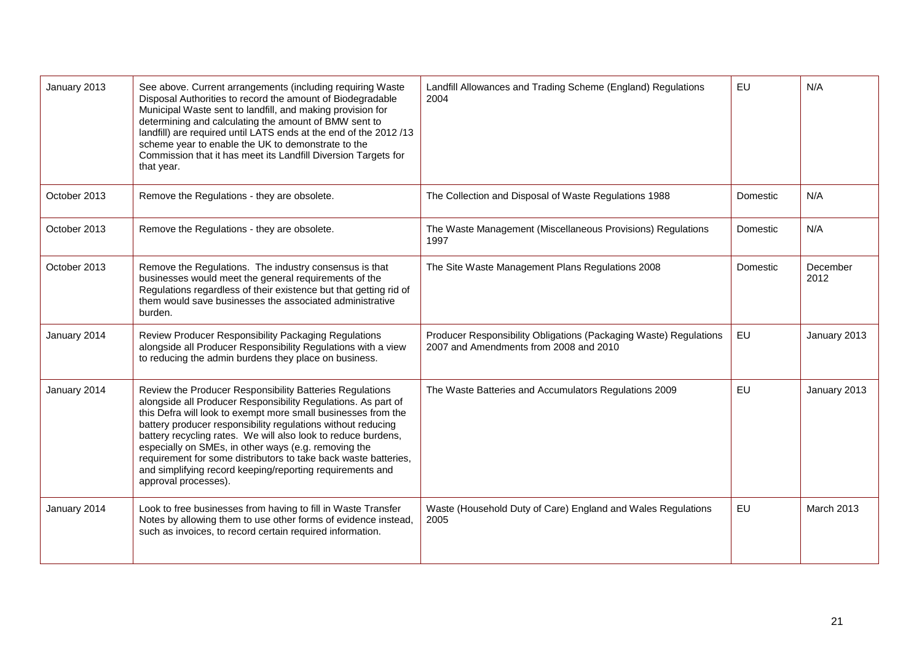| January 2013 | See above. Current arrangements (including requiring Waste<br>Disposal Authorities to record the amount of Biodegradable<br>Municipal Waste sent to landfill, and making provision for<br>determining and calculating the amount of BMW sent to<br>landfill) are required until LATS ends at the end of the 2012/13<br>scheme year to enable the UK to demonstrate to the<br>Commission that it has meet its Landfill Diversion Targets for<br>that year.                                                                                   | Landfill Allowances and Trading Scheme (England) Regulations<br>2004                                        | EU        | N/A               |
|--------------|---------------------------------------------------------------------------------------------------------------------------------------------------------------------------------------------------------------------------------------------------------------------------------------------------------------------------------------------------------------------------------------------------------------------------------------------------------------------------------------------------------------------------------------------|-------------------------------------------------------------------------------------------------------------|-----------|-------------------|
| October 2013 | Remove the Regulations - they are obsolete.                                                                                                                                                                                                                                                                                                                                                                                                                                                                                                 | The Collection and Disposal of Waste Regulations 1988                                                       | Domestic  | N/A               |
| October 2013 | Remove the Regulations - they are obsolete.                                                                                                                                                                                                                                                                                                                                                                                                                                                                                                 | The Waste Management (Miscellaneous Provisions) Regulations<br>1997                                         | Domestic  | N/A               |
| October 2013 | Remove the Regulations. The industry consensus is that<br>businesses would meet the general requirements of the<br>Regulations regardless of their existence but that getting rid of<br>them would save businesses the associated administrative<br>burden.                                                                                                                                                                                                                                                                                 | The Site Waste Management Plans Regulations 2008                                                            | Domestic  | December<br>2012  |
| January 2014 | Review Producer Responsibility Packaging Regulations<br>alongside all Producer Responsibility Regulations with a view<br>to reducing the admin burdens they place on business.                                                                                                                                                                                                                                                                                                                                                              | Producer Responsibility Obligations (Packaging Waste) Regulations<br>2007 and Amendments from 2008 and 2010 | EU        | January 2013      |
| January 2014 | Review the Producer Responsibility Batteries Regulations<br>alongside all Producer Responsibility Regulations. As part of<br>this Defra will look to exempt more small businesses from the<br>battery producer responsibility regulations without reducing<br>battery recycling rates. We will also look to reduce burdens,<br>especially on SMEs, in other ways (e.g. removing the<br>requirement for some distributors to take back waste batteries,<br>and simplifying record keeping/reporting requirements and<br>approval processes). | The Waste Batteries and Accumulators Regulations 2009                                                       | EU        | January 2013      |
| January 2014 | Look to free businesses from having to fill in Waste Transfer<br>Notes by allowing them to use other forms of evidence instead,<br>such as invoices, to record certain required information.                                                                                                                                                                                                                                                                                                                                                | Waste (Household Duty of Care) England and Wales Regulations<br>2005                                        | <b>EU</b> | <b>March 2013</b> |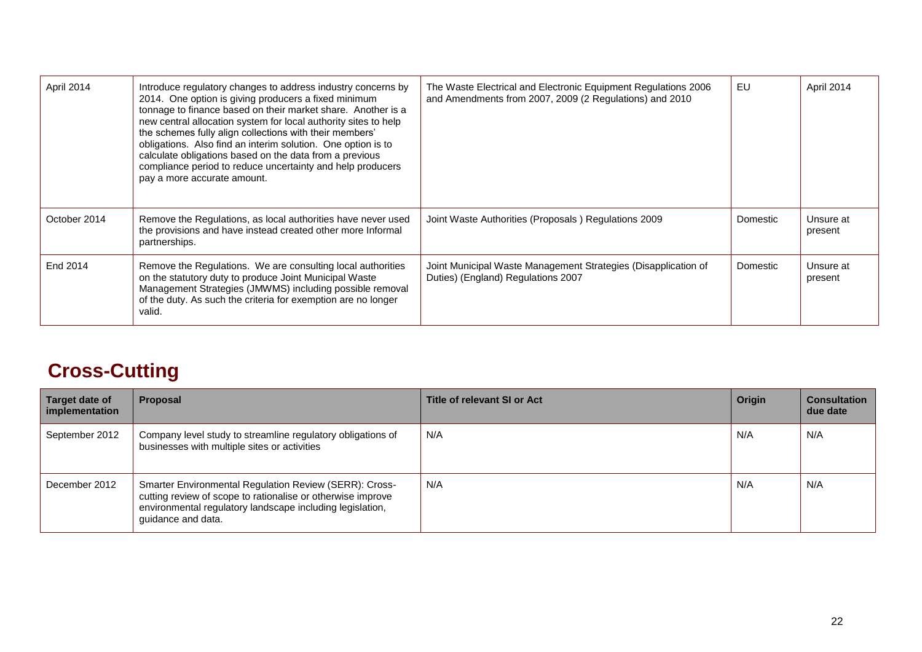| April 2014   | Introduce regulatory changes to address industry concerns by<br>2014. One option is giving producers a fixed minimum<br>tonnage to finance based on their market share. Another is a<br>new central allocation system for local authority sites to help<br>the schemes fully align collections with their members'<br>obligations. Also find an interim solution. One option is to<br>calculate obligations based on the data from a previous<br>compliance period to reduce uncertainty and help producers<br>pay a more accurate amount. | The Waste Electrical and Electronic Equipment Regulations 2006<br>and Amendments from 2007, 2009 (2 Regulations) and 2010 | EU       | April 2014           |
|--------------|--------------------------------------------------------------------------------------------------------------------------------------------------------------------------------------------------------------------------------------------------------------------------------------------------------------------------------------------------------------------------------------------------------------------------------------------------------------------------------------------------------------------------------------------|---------------------------------------------------------------------------------------------------------------------------|----------|----------------------|
| October 2014 | Remove the Regulations, as local authorities have never used<br>the provisions and have instead created other more Informal<br>partnerships.                                                                                                                                                                                                                                                                                                                                                                                               | Joint Waste Authorities (Proposals) Regulations 2009                                                                      | Domestic | Unsure at<br>present |
| End 2014     | Remove the Regulations. We are consulting local authorities<br>on the statutory duty to produce Joint Municipal Waste<br>Management Strategies (JMWMS) including possible removal<br>of the duty. As such the criteria for exemption are no longer<br>valid.                                                                                                                                                                                                                                                                               | Joint Municipal Waste Management Strategies (Disapplication of<br>Duties) (England) Regulations 2007                      | Domestic | Unsure at<br>present |

### **Cross-Cutting**

<span id="page-21-0"></span>

| Target date of<br>implementation | Proposal                                                                                                                                                                                                        | Title of relevant SI or Act | Origin | <b>Consultation</b><br>due date |
|----------------------------------|-----------------------------------------------------------------------------------------------------------------------------------------------------------------------------------------------------------------|-----------------------------|--------|---------------------------------|
| September 2012                   | Company level study to streamline regulatory obligations of<br>businesses with multiple sites or activities                                                                                                     | N/A                         | N/A    | N/A                             |
| December 2012                    | <b>Smarter Environmental Regulation Review (SERR): Cross-</b><br>cutting review of scope to rationalise or otherwise improve<br>environmental regulatory landscape including legislation,<br>quidance and data. | N/A                         | N/A    | N/A                             |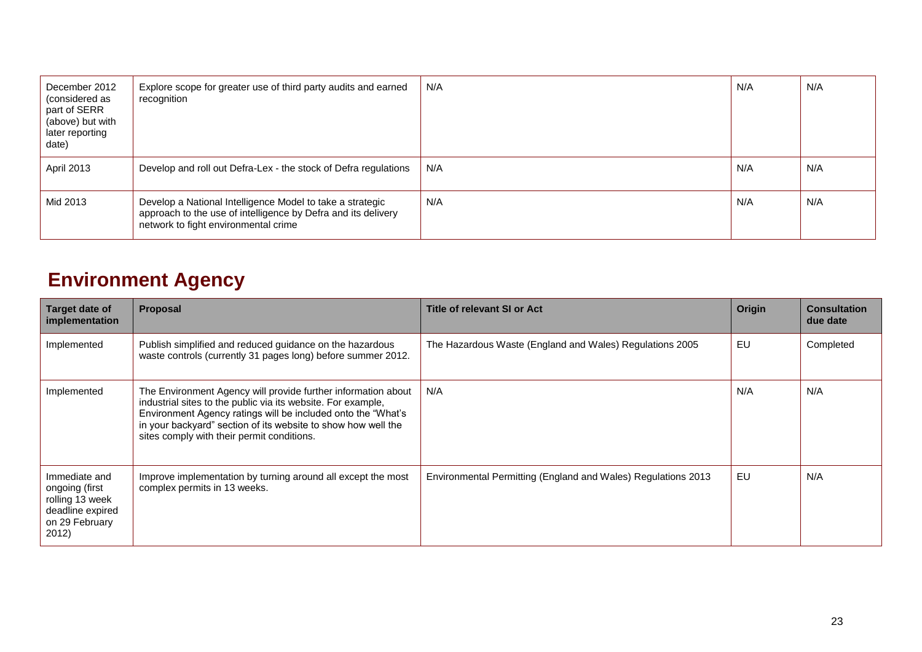| December 2012<br>(considered as<br>part of SERR<br>(above) but with<br>later reporting<br>date) | Explore scope for greater use of third party audits and earned<br>recognition                                                                                      | N/A | N/A | N/A |
|-------------------------------------------------------------------------------------------------|--------------------------------------------------------------------------------------------------------------------------------------------------------------------|-----|-----|-----|
| <b>April 2013</b>                                                                               | Develop and roll out Defra-Lex - the stock of Defra regulations                                                                                                    | N/A | N/A | N/A |
| Mid 2013                                                                                        | Develop a National Intelligence Model to take a strategic<br>approach to the use of intelligence by Defra and its delivery<br>network to fight environmental crime | N/A | N/A | N/A |

### **Environment Agency**

<span id="page-22-0"></span>

| Target date of<br>implementation                                                                  | <b>Proposal</b>                                                                                                                                                                                                                                                                                              | Title of relevant SI or Act                                   | Origin | <b>Consultation</b><br>due date |
|---------------------------------------------------------------------------------------------------|--------------------------------------------------------------------------------------------------------------------------------------------------------------------------------------------------------------------------------------------------------------------------------------------------------------|---------------------------------------------------------------|--------|---------------------------------|
| Implemented                                                                                       | Publish simplified and reduced guidance on the hazardous<br>waste controls (currently 31 pages long) before summer 2012.                                                                                                                                                                                     | The Hazardous Waste (England and Wales) Regulations 2005      | EU     | Completed                       |
| Implemented                                                                                       | The Environment Agency will provide further information about<br>industrial sites to the public via its website. For example,<br>Environment Agency ratings will be included onto the "What's<br>in your backyard" section of its website to show how well the<br>sites comply with their permit conditions. | N/A                                                           | N/A    | N/A                             |
| Immediate and<br>ongoing (first<br>rolling 13 week<br>deadline expired<br>on 29 February<br>2012) | Improve implementation by turning around all except the most<br>complex permits in 13 weeks.                                                                                                                                                                                                                 | Environmental Permitting (England and Wales) Regulations 2013 | EU     | N/A                             |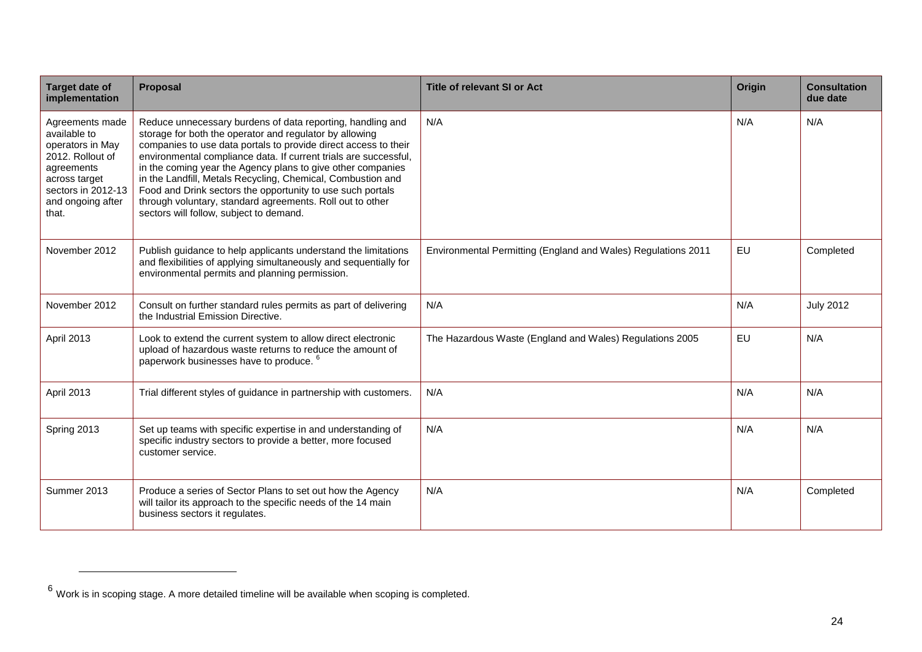| <b>Target date of</b><br>implementation                                                                                                                    | <b>Proposal</b>                                                                                                                                                                                                                                                                                                                                                                                                                                                                                                                                                  | <b>Title of relevant SI or Act</b>                            | <b>Origin</b> | <b>Consultation</b><br>due date |
|------------------------------------------------------------------------------------------------------------------------------------------------------------|------------------------------------------------------------------------------------------------------------------------------------------------------------------------------------------------------------------------------------------------------------------------------------------------------------------------------------------------------------------------------------------------------------------------------------------------------------------------------------------------------------------------------------------------------------------|---------------------------------------------------------------|---------------|---------------------------------|
| Agreements made<br>available to<br>operators in May<br>2012. Rollout of<br>agreements<br>across target<br>sectors in 2012-13<br>and ongoing after<br>that. | Reduce unnecessary burdens of data reporting, handling and<br>storage for both the operator and regulator by allowing<br>companies to use data portals to provide direct access to their<br>environmental compliance data. If current trials are successful,<br>in the coming year the Agency plans to give other companies<br>in the Landfill, Metals Recycling, Chemical, Combustion and<br>Food and Drink sectors the opportunity to use such portals<br>through voluntary, standard agreements. Roll out to other<br>sectors will follow, subject to demand. | N/A                                                           | N/A           | N/A                             |
| November 2012                                                                                                                                              | Publish guidance to help applicants understand the limitations<br>and flexibilities of applying simultaneously and sequentially for<br>environmental permits and planning permission.                                                                                                                                                                                                                                                                                                                                                                            | Environmental Permitting (England and Wales) Regulations 2011 | EU            | Completed                       |
| November 2012                                                                                                                                              | Consult on further standard rules permits as part of delivering<br>the Industrial Emission Directive.                                                                                                                                                                                                                                                                                                                                                                                                                                                            | N/A                                                           | N/A           | <b>July 2012</b>                |
| April 2013                                                                                                                                                 | Look to extend the current system to allow direct electronic<br>upload of hazardous waste returns to reduce the amount of<br>paperwork businesses have to produce.                                                                                                                                                                                                                                                                                                                                                                                               | The Hazardous Waste (England and Wales) Regulations 2005      | EU            | N/A                             |
| April 2013                                                                                                                                                 | Trial different styles of guidance in partnership with customers.                                                                                                                                                                                                                                                                                                                                                                                                                                                                                                | N/A                                                           | N/A           | N/A                             |
| Spring 2013                                                                                                                                                | Set up teams with specific expertise in and understanding of<br>specific industry sectors to provide a better, more focused<br>customer service.                                                                                                                                                                                                                                                                                                                                                                                                                 | N/A                                                           | N/A           | N/A                             |
| Summer 2013                                                                                                                                                | Produce a series of Sector Plans to set out how the Agency<br>will tailor its approach to the specific needs of the 14 main<br>business sectors it regulates.                                                                                                                                                                                                                                                                                                                                                                                                    | N/A                                                           | N/A           | Completed                       |

 $6$  Work is in scoping stage. A more detailed timeline will be available when scoping is completed.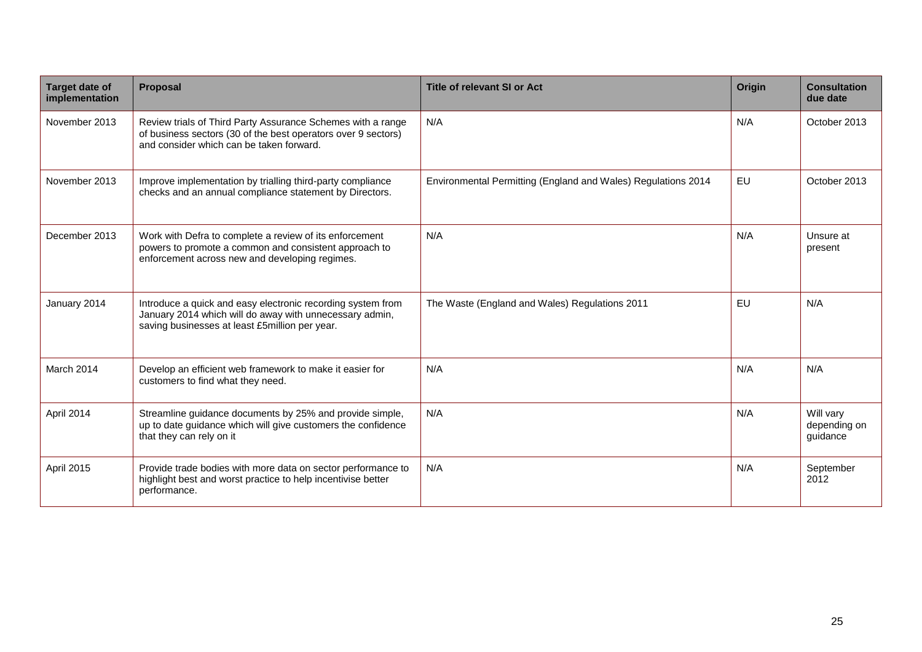<span id="page-24-0"></span>

| <b>Target date of</b><br>implementation | Proposal                                                                                                                                                                 | <b>Title of relevant SI or Act</b>                            | Origin    | <b>Consultation</b><br>due date       |
|-----------------------------------------|--------------------------------------------------------------------------------------------------------------------------------------------------------------------------|---------------------------------------------------------------|-----------|---------------------------------------|
| November 2013                           | Review trials of Third Party Assurance Schemes with a range<br>of business sectors (30 of the best operators over 9 sectors)<br>and consider which can be taken forward. | N/A                                                           | N/A       | October 2013                          |
| November 2013                           | Improve implementation by trialling third-party compliance<br>checks and an annual compliance statement by Directors.                                                    | Environmental Permitting (England and Wales) Regulations 2014 | <b>EU</b> | October 2013                          |
| December 2013                           | Work with Defra to complete a review of its enforcement<br>powers to promote a common and consistent approach to<br>enforcement across new and developing regimes.       | N/A                                                           | N/A       | Unsure at<br>present                  |
| January 2014                            | Introduce a quick and easy electronic recording system from<br>January 2014 which will do away with unnecessary admin,<br>saving businesses at least £5million per year. | The Waste (England and Wales) Regulations 2011                | EU        | N/A                                   |
| March 2014                              | Develop an efficient web framework to make it easier for<br>customers to find what they need.                                                                            | N/A                                                           | N/A       | N/A                                   |
| April 2014                              | Streamline guidance documents by 25% and provide simple,<br>up to date guidance which will give customers the confidence<br>that they can rely on it                     | N/A                                                           | N/A       | Will vary<br>depending on<br>guidance |
| April 2015                              | Provide trade bodies with more data on sector performance to<br>highlight best and worst practice to help incentivise better<br>performance.                             | N/A                                                           | N/A       | September<br>2012                     |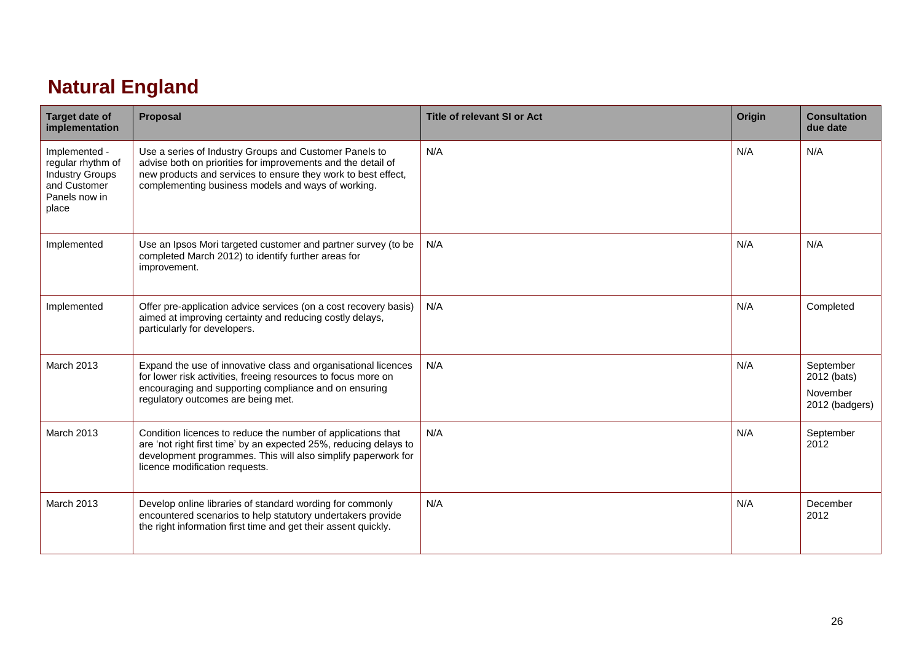### **Natural England**

| <b>Target date of</b><br>implementation                                                                | Proposal                                                                                                                                                                                                                                      | <b>Title of relevant SI or Act</b> | Origin | <b>Consultation</b><br>due date                        |
|--------------------------------------------------------------------------------------------------------|-----------------------------------------------------------------------------------------------------------------------------------------------------------------------------------------------------------------------------------------------|------------------------------------|--------|--------------------------------------------------------|
| Implemented -<br>regular rhythm of<br><b>Industry Groups</b><br>and Customer<br>Panels now in<br>place | Use a series of Industry Groups and Customer Panels to<br>advise both on priorities for improvements and the detail of<br>new products and services to ensure they work to best effect,<br>complementing business models and ways of working. | N/A                                | N/A    | N/A                                                    |
| Implemented                                                                                            | Use an Ipsos Mori targeted customer and partner survey (to be<br>completed March 2012) to identify further areas for<br>improvement.                                                                                                          | N/A                                | N/A    | N/A                                                    |
| Implemented                                                                                            | Offer pre-application advice services (on a cost recovery basis)<br>aimed at improving certainty and reducing costly delays,<br>particularly for developers.                                                                                  | N/A                                | N/A    | Completed                                              |
| <b>March 2013</b>                                                                                      | Expand the use of innovative class and organisational licences<br>for lower risk activities, freeing resources to focus more on<br>encouraging and supporting compliance and on ensuring<br>regulatory outcomes are being met.                | N/A                                | N/A    | September<br>2012 (bats)<br>November<br>2012 (badgers) |
| <b>March 2013</b>                                                                                      | Condition licences to reduce the number of applications that<br>are 'not right first time' by an expected 25%, reducing delays to<br>development programmes. This will also simplify paperwork for<br>licence modification requests.          | N/A                                | N/A    | September<br>2012                                      |
| <b>March 2013</b>                                                                                      | Develop online libraries of standard wording for commonly<br>encountered scenarios to help statutory undertakers provide<br>the right information first time and get their assent quickly.                                                    | N/A                                | N/A    | December<br>2012                                       |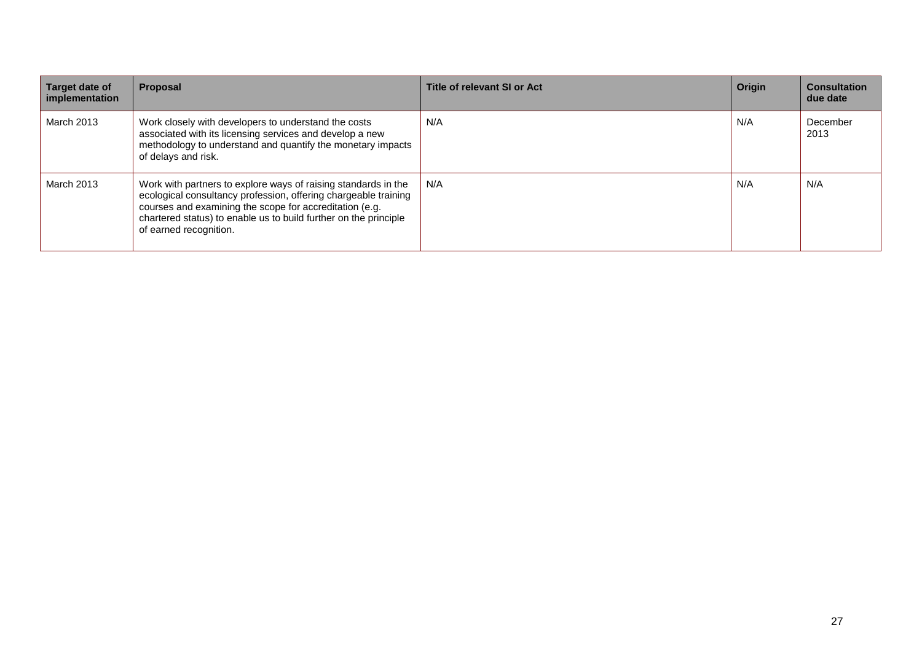| Target date of<br>implementation | Proposal                                                                                                                                                                                                                                                                                   | Title of relevant SI or Act | Origin | <b>Consultation</b><br>due date |
|----------------------------------|--------------------------------------------------------------------------------------------------------------------------------------------------------------------------------------------------------------------------------------------------------------------------------------------|-----------------------------|--------|---------------------------------|
| March 2013                       | Work closely with developers to understand the costs<br>associated with its licensing services and develop a new<br>methodology to understand and quantify the monetary impacts<br>of delays and risk.                                                                                     | N/A                         | N/A    | December<br>2013                |
| March 2013                       | Work with partners to explore ways of raising standards in the<br>ecological consultancy profession, offering chargeable training<br>courses and examining the scope for accreditation (e.g.<br>chartered status) to enable us to build further on the principle<br>of earned recognition. | N/A                         | N/A    | N/A                             |